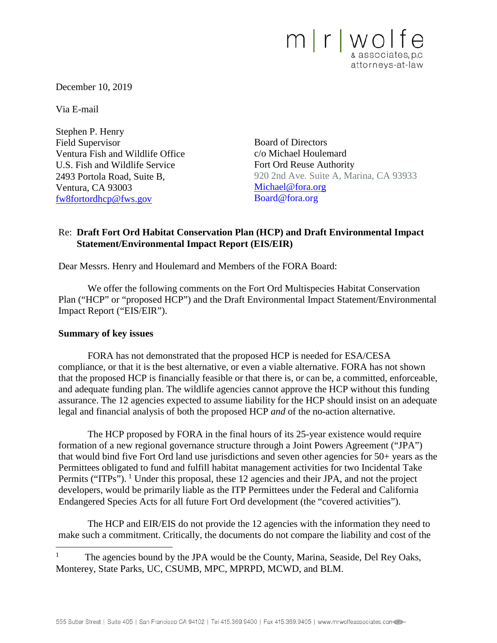

December 10, 2019

Via E-mail

Stephen P. Henry Field Supervisor Ventura Fish and Wildlife Office U.S. Fish and Wildlife Service 2493 Portola Road, Suite B, Ventura, CA 93003 [fw8fortordhcp@fws.gov](mailto:fw8fortordhcp@fws.gov)

Board of Directors c/o Michael Houlemard Fort Ord Reuse Authority 920 2nd Ave. Suite A, Marina, CA 93933 [Michael@fora.org](mailto:Michael@fora.org) Board@fora.org

# Re: **Draft Fort Ord Habitat Conservation Plan (HCP) and Draft Environmental Impact Statement/Environmental Impact Report (EIS/EIR)**

Dear Messrs. Henry and Houlemard and Members of the FORA Board:

We offer the following comments on the Fort Ord Multispecies Habitat Conservation Plan ("HCP" or "proposed HCP") and the Draft Environmental Impact Statement/Environmental Impact Report ("EIS/EIR").

#### **Summary of key issues**

FORA has not demonstrated that the proposed HCP is needed for ESA/CESA compliance, or that it is the best alternative, or even a viable alternative. FORA has not shown that the proposed HCP is financially feasible or that there is, or can be, a committed, enforceable, and adequate funding plan. The wildlife agencies cannot approve the HCP without this funding assurance. The 12 agencies expected to assume liability for the HCP should insist on an adequate legal and financial analysis of both the proposed HCP *and* of the no-action alternative.

The HCP proposed by FORA in the final hours of its 25-year existence would require formation of a new regional governance structure through a Joint Powers Agreement ("JPA") that would bind five Fort Ord land use jurisdictions and seven other agencies for 50+ years as the Permittees obligated to fund and fulfill habitat management activities for two Incidental Take Permits ("ITPs"). <sup>[1](#page-0-0)</sup> Under this proposal, these 12 agencies and their JPA, and not the project developers, would be primarily liable as the ITP Permittees under the Federal and California Endangered Species Acts for all future Fort Ord development (the "covered activities").

The HCP and EIR/EIS do not provide the 12 agencies with the information they need to make such a commitment. Critically, the documents do not compare the liability and cost of the

<span id="page-0-0"></span><sup>1</sup> The agencies bound by the JPA would be the County, Marina, Seaside, Del Rey Oaks, Monterey, State Parks, UC, CSUMB, MPC, MPRPD, MCWD, and BLM.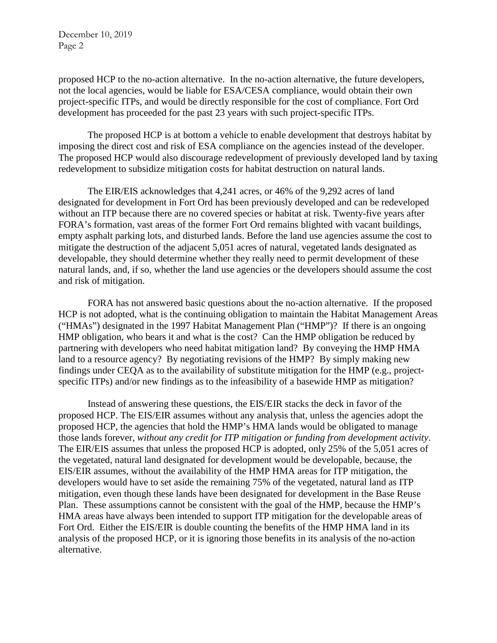proposed HCP to the no-action alternative. In the no-action alternative, the future developers, not the local agencies, would be liable for ESA/CESA compliance, would obtain their own project-specific ITPs, and would be directly responsible for the cost of compliance. Fort Ord development has proceeded for the past 23 years with such project-specific ITPs.

The proposed HCP is at bottom a vehicle to enable development that destroys habitat by imposing the direct cost and risk of ESA compliance on the agencies instead of the developer. The proposed HCP would also discourage redevelopment of previously developed land by taxing redevelopment to subsidize mitigation costs for habitat destruction on natural lands.

The EIR/EIS acknowledges that 4,241 acres, or 46% of the 9,292 acres of land designated for development in Fort Ord has been previously developed and can be redeveloped without an ITP because there are no covered species or habitat at risk. Twenty-five years after FORA's formation, vast areas of the former Fort Ord remains blighted with vacant buildings, empty asphalt parking lots, and disturbed lands. Before the land use agencies assume the cost to mitigate the destruction of the adjacent 5,051 acres of natural, vegetated lands designated as developable, they should determine whether they really need to permit development of these natural lands, and, if so, whether the land use agencies or the developers should assume the cost and risk of mitigation.

FORA has not answered basic questions about the no-action alternative. If the proposed HCP is not adopted, what is the continuing obligation to maintain the Habitat Management Areas ("HMAs") designated in the 1997 Habitat Management Plan ("HMP")? If there is an ongoing HMP obligation, who bears it and what is the cost? Can the HMP obligation be reduced by partnering with developers who need habitat mitigation land? By conveying the HMP HMA land to a resource agency? By negotiating revisions of the HMP? By simply making new findings under CEQA as to the availability of substitute mitigation for the HMP (e.g., projectspecific ITPs) and/or new findings as to the infeasibility of a basewide HMP as mitigation?

Instead of answering these questions, the EIS/EIR stacks the deck in favor of the proposed HCP. The EIS/EIR assumes without any analysis that, unless the agencies adopt the proposed HCP, the agencies that hold the HMP's HMA lands would be obligated to manage those lands forever, *without any credit for ITP mitigation or funding from development activity*. The EIR/EIS assumes that unless the proposed HCP is adopted, only 25% of the 5,051 acres of the vegetated, natural land designated for development would be developable, because, the EIS/EIR assumes, without the availability of the HMP HMA areas for ITP mitigation, the developers would have to set aside the remaining 75% of the vegetated, natural land as ITP mitigation, even though these lands have been designated for development in the Base Reuse Plan. These assumptions cannot be consistent with the goal of the HMP, because the HMP's HMA areas have always been intended to support ITP mitigation for the developable areas of Fort Ord. Either the EIS/EIR is double counting the benefits of the HMP HMA land in its analysis of the proposed HCP, or it is ignoring those benefits in its analysis of the no-action alternative.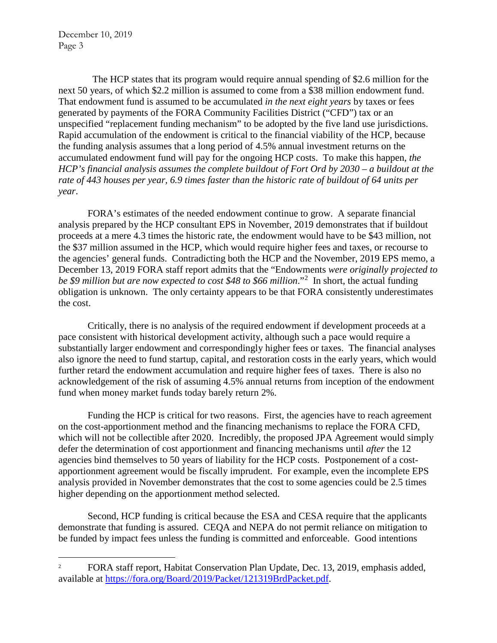The HCP states that its program would require annual spending of \$2.6 million for the next 50 years, of which \$2.2 million is assumed to come from a \$38 million endowment fund. That endowment fund is assumed to be accumulated *in the next eight years* by taxes or fees generated by payments of the FORA Community Facilities District ("CFD") tax or an unspecified "replacement funding mechanism" to be adopted by the five land use jurisdictions. Rapid accumulation of the endowment is critical to the financial viability of the HCP, because the funding analysis assumes that a long period of 4.5% annual investment returns on the accumulated endowment fund will pay for the ongoing HCP costs. To make this happen, *the HCP's financial analysis assumes the complete buildout of Fort Ord by 2030 – a buildout at the rate of 443 houses per year, 6.9 times faster than the historic rate of buildout of 64 units per year*.

FORA's estimates of the needed endowment continue to grow. A separate financial analysis prepared by the HCP consultant EPS in November, 2019 demonstrates that if buildout proceeds at a mere 4.3 times the historic rate, the endowment would have to be \$43 million, not the \$37 million assumed in the HCP, which would require higher fees and taxes, or recourse to the agencies' general funds. Contradicting both the HCP and the November, 2019 EPS memo, a December 13, 2019 FORA staff report admits that the "Endowments *were originally projected to be \$9 million but are now expected to cost \$48 to \$66 million*."[2](#page-2-0) In short, the actual funding obligation is unknown. The only certainty appears to be that FORA consistently underestimates the cost.

Critically, there is no analysis of the required endowment if development proceeds at a pace consistent with historical development activity, although such a pace would require a substantially larger endowment and correspondingly higher fees or taxes. The financial analyses also ignore the need to fund startup, capital, and restoration costs in the early years, which would further retard the endowment accumulation and require higher fees of taxes. There is also no acknowledgement of the risk of assuming 4.5% annual returns from inception of the endowment fund when money market funds today barely return 2%.

Funding the HCP is critical for two reasons. First, the agencies have to reach agreement on the cost-apportionment method and the financing mechanisms to replace the FORA CFD, which will not be collectible after 2020. Incredibly, the proposed JPA Agreement would simply defer the determination of cost apportionment and financing mechanisms until *after* the 12 agencies bind themselves to 50 years of liability for the HCP costs. Postponement of a costapportionment agreement would be fiscally imprudent. For example, even the incomplete EPS analysis provided in November demonstrates that the cost to some agencies could be 2.5 times higher depending on the apportionment method selected.

Second, HCP funding is critical because the ESA and CESA require that the applicants demonstrate that funding is assured. CEQA and NEPA do not permit reliance on mitigation to be funded by impact fees unless the funding is committed and enforceable. Good intentions

<span id="page-2-0"></span><sup>&</sup>lt;sup>2</sup> FORA staff report, Habitat Conservation Plan Update, Dec. 13, 2019, emphasis added, available at [https://fora.org/Board/2019/Packet/121319BrdPacket.pdf.](https://fora.org/Board/2019/Packet/121319BrdPacket.pdf)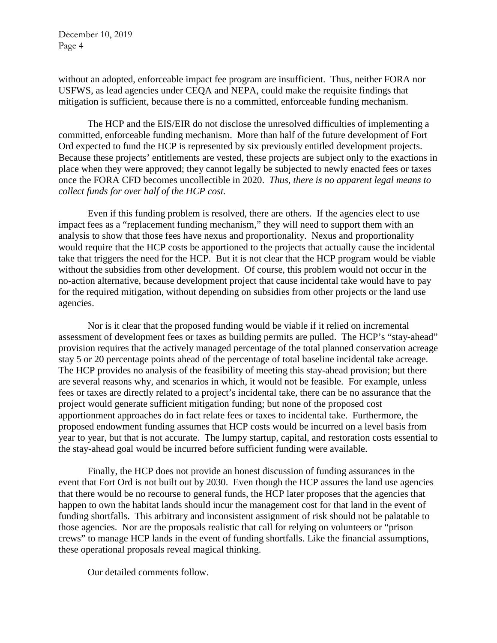without an adopted, enforceable impact fee program are insufficient. Thus, neither FORA nor USFWS, as lead agencies under CEQA and NEPA, could make the requisite findings that mitigation is sufficient, because there is no a committed, enforceable funding mechanism.

The HCP and the EIS/EIR do not disclose the unresolved difficulties of implementing a committed, enforceable funding mechanism. More than half of the future development of Fort Ord expected to fund the HCP is represented by six previously entitled development projects. Because these projects' entitlements are vested, these projects are subject only to the exactions in place when they were approved; they cannot legally be subjected to newly enacted fees or taxes once the FORA CFD becomes uncollectible in 2020. *Thus, there is no apparent legal means to collect funds for over half of the HCP cost.*

Even if this funding problem is resolved, there are others. If the agencies elect to use impact fees as a "replacement funding mechanism," they will need to support them with an analysis to show that those fees have nexus and proportionality. Nexus and proportionality would require that the HCP costs be apportioned to the projects that actually cause the incidental take that triggers the need for the HCP. But it is not clear that the HCP program would be viable without the subsidies from other development. Of course, this problem would not occur in the no-action alternative, because development project that cause incidental take would have to pay for the required mitigation, without depending on subsidies from other projects or the land use agencies.

Nor is it clear that the proposed funding would be viable if it relied on incremental assessment of development fees or taxes as building permits are pulled. The HCP's "stay-ahead" provision requires that the actively managed percentage of the total planned conservation acreage stay 5 or 20 percentage points ahead of the percentage of total baseline incidental take acreage. The HCP provides no analysis of the feasibility of meeting this stay-ahead provision; but there are several reasons why, and scenarios in which, it would not be feasible. For example, unless fees or taxes are directly related to a project's incidental take, there can be no assurance that the project would generate sufficient mitigation funding; but none of the proposed cost apportionment approaches do in fact relate fees or taxes to incidental take. Furthermore, the proposed endowment funding assumes that HCP costs would be incurred on a level basis from year to year, but that is not accurate. The lumpy startup, capital, and restoration costs essential to the stay-ahead goal would be incurred before sufficient funding were available.

Finally, the HCP does not provide an honest discussion of funding assurances in the event that Fort Ord is not built out by 2030. Even though the HCP assures the land use agencies that there would be no recourse to general funds, the HCP later proposes that the agencies that happen to own the habitat lands should incur the management cost for that land in the event of funding shortfalls. This arbitrary and inconsistent assignment of risk should not be palatable to those agencies. Nor are the proposals realistic that call for relying on volunteers or "prison crews" to manage HCP lands in the event of funding shortfalls. Like the financial assumptions, these operational proposals reveal magical thinking.

Our detailed comments follow.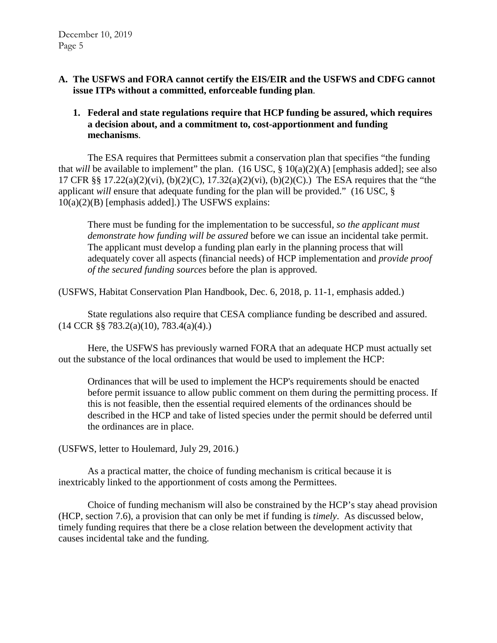- **A. The USFWS and FORA cannot certify the EIS/EIR and the USFWS and CDFG cannot issue ITPs without a committed, enforceable funding plan**.
	- **1. Federal and state regulations require that HCP funding be assured, which requires a decision about, and a commitment to, cost-apportionment and funding mechanisms**.

The ESA requires that Permittees submit a conservation plan that specifies "the funding that *will* be available to implement" the plan.  $(16 \text{ USC}, \text{§ } 10(a)(2)(A)$  [emphasis added]; see also 17 CFR §§ 17.22(a)(2)(vi), (b)(2)(C), 17.32(a)(2)(vi), (b)(2)(C).) The ESA requires that the "the applicant *will* ensure that adequate funding for the plan will be provided." (16 USC, § 10(a)(2)(B) [emphasis added].) The USFWS explains:

There must be funding for the implementation to be successful, *so the applicant must demonstrate how funding will be assured* before we can issue an incidental take permit. The applicant must develop a funding plan early in the planning process that will adequately cover all aspects (financial needs) of HCP implementation and *provide proof of the secured funding sources* before the plan is approved.

(USFWS, Habitat Conservation Plan Handbook, Dec. 6, 2018, p. 11-1, emphasis added.)

State regulations also require that CESA compliance funding be described and assured. (14 CCR §§ 783.2(a)(10), 783.4(a)(4).)

Here, the USFWS has previously warned FORA that an adequate HCP must actually set out the substance of the local ordinances that would be used to implement the HCP:

Ordinances that will be used to implement the HCP's requirements should be enacted before permit issuance to allow public comment on them during the permitting process. If this is not feasible, then the essential required elements of the ordinances should be described in the HCP and take of listed species under the permit should be deferred until the ordinances are in place.

(USFWS, letter to Houlemard, July 29, 2016.)

As a practical matter, the choice of funding mechanism is critical because it is inextricably linked to the apportionment of costs among the Permittees.

Choice of funding mechanism will also be constrained by the HCP's stay ahead provision (HCP, section 7.6), a provision that can only be met if funding is *timely*. As discussed below, timely funding requires that there be a close relation between the development activity that causes incidental take and the funding.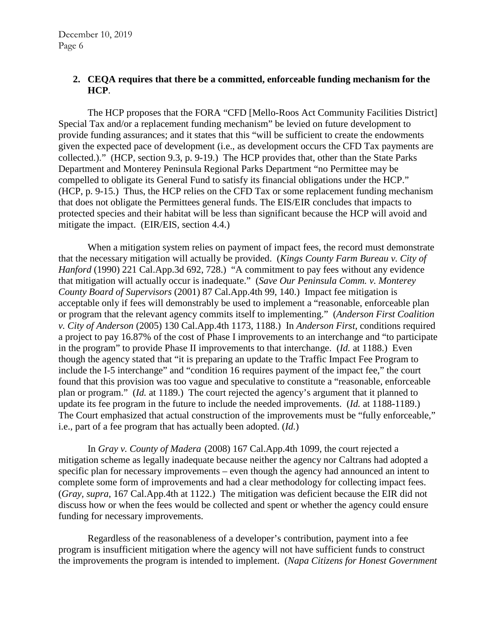#### **2. CEQA requires that there be a committed, enforceable funding mechanism for the HCP**.

The HCP proposes that the FORA "CFD [Mello-Roos Act Community Facilities District] Special Tax and/or a replacement funding mechanism" be levied on future development to provide funding assurances; and it states that this "will be sufficient to create the endowments given the expected pace of development (i.e., as development occurs the CFD Tax payments are collected.)." (HCP, section 9.3, p. 9-19.) The HCP provides that, other than the State Parks Department and Monterey Peninsula Regional Parks Department "no Permittee may be compelled to obligate its General Fund to satisfy its financial obligations under the HCP." (HCP, p. 9-15.) Thus, the HCP relies on the CFD Tax or some replacement funding mechanism that does not obligate the Permittees general funds. The EIS/EIR concludes that impacts to protected species and their habitat will be less than significant because the HCP will avoid and mitigate the impact. (EIR/EIS, section 4.4.)

When a mitigation system relies on payment of impact fees, the record must demonstrate that the necessary mitigation will actually be provided. (*Kings County Farm Bureau v. City of Hanford* (1990) 221 Cal.App.3d 692, 728.) "A commitment to pay fees without any evidence that mitigation will actually occur is inadequate." (*Save Our Peninsula Comm. v. Monterey County Board of Supervisors* (2001) 87 Cal.App.4th 99, 140.) Impact fee mitigation is acceptable only if fees will demonstrably be used to implement a "reasonable, enforceable plan or program that the relevant agency commits itself to implementing." (*Anderson First Coalition v. City of Anderson* (2005) 130 Cal.App.4th 1173, 1188.) In *Anderson First*, conditions required a project to pay 16.87% of the cost of Phase I improvements to an interchange and "to participate in the program" to provide Phase II improvements to that interchange. (*Id.* at 1188.) Even though the agency stated that "it is preparing an update to the Traffic Impact Fee Program to include the I-5 interchange" and "condition 16 requires payment of the impact fee," the court found that this provision was too vague and speculative to constitute a "reasonable, enforceable plan or program." (*Id.* at 1189.) The court rejected the agency's argument that it planned to update its fee program in the future to include the needed improvements. (*Id.* at 1188-1189.) The Court emphasized that actual construction of the improvements must be "fully enforceable," i.e., part of a fee program that has actually been adopted. (*Id.*)

In *Gray v. County of Madera* (2008) 167 Cal.App.4th 1099, the court rejected a mitigation scheme as legally inadequate because neither the agency nor Caltrans had adopted a specific plan for necessary improvements – even though the agency had announced an intent to complete some form of improvements and had a clear methodology for collecting impact fees. (*Gray, supra*, 167 Cal.App.4th at 1122.) The mitigation was deficient because the EIR did not discuss how or when the fees would be collected and spent or whether the agency could ensure funding for necessary improvements.

Regardless of the reasonableness of a developer's contribution, payment into a fee program is insufficient mitigation where the agency will not have sufficient funds to construct the improvements the program is intended to implement. (*Napa Citizens for Honest Government*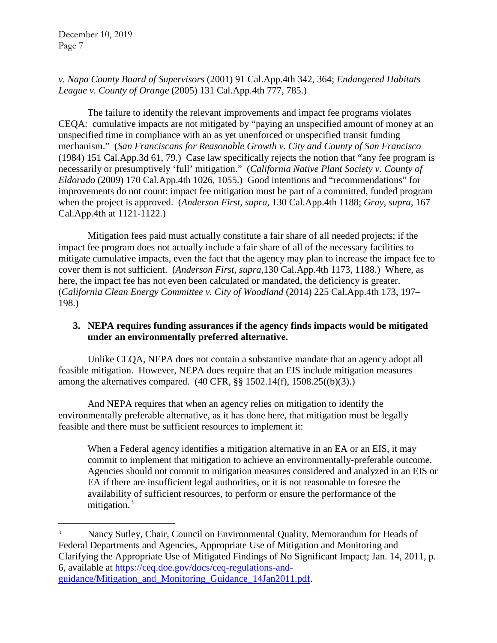# *v. Napa County Board of Supervisors* (2001) 91 Cal.App.4th 342, 364; *Endangered Habitats League v. County of Orange* (2005) 131 Cal.App.4th 777, 785.)

The failure to identify the relevant improvements and impact fee programs violates CEQA: cumulative impacts are not mitigated by "paying an unspecified amount of money at an unspecified time in compliance with an as yet unenforced or unspecified transit funding mechanism." (*San Franciscans for Reasonable Growth v. City and County of San Francisco* (1984) 151 Cal.App.3d 61, 79.) Case law specifically rejects the notion that "any fee program is necessarily or presumptively 'full' mitigation." (*California Native Plant Society v. County of Eldorado* (2009) 170 Cal.App.4th 1026, 1055.) Good intentions and "recommendations" for improvements do not count: impact fee mitigation must be part of a committed, funded program when the project is approved. (*Anderson First, supra,* 130 Cal.App.4th 1188; *Gray, supra*, 167 Cal.App.4th at 1121-1122.)

Mitigation fees paid must actually constitute a fair share of all needed projects; if the impact fee program does not actually include a fair share of all of the necessary facilities to mitigate cumulative impacts, even the fact that the agency may plan to increase the impact fee to cover them is not sufficient. (*Anderson First, supra*,130 Cal.App.4th 1173, 1188.) Where, as here, the impact fee has not even been calculated or mandated, the deficiency is greater. (*California Clean Energy Committee v. City of Woodland* (2014) 225 Cal.App.4th 173, 197– 198.)

# **3. NEPA requires funding assurances if the agency finds impacts would be mitigated under an environmentally preferred alternative.**

Unlike CEQA, NEPA does not contain a substantive mandate that an agency adopt all feasible mitigation. However, NEPA does require that an EIS include mitigation measures among the alternatives compared. (40 CFR, §§ 1502.14(f), 1508.25((b)(3).)

And NEPA requires that when an agency relies on mitigation to identify the environmentally preferable alternative, as it has done here, that mitigation must be legally feasible and there must be sufficient resources to implement it:

When a Federal agency identifies a mitigation alternative in an EA or an EIS, it may commit to implement that mitigation to achieve an environmentally-preferable outcome. Agencies should not commit to mitigation measures considered and analyzed in an EIS or EA if there are insufficient legal authorities, or it is not reasonable to foresee the availability of sufficient resources, to perform or ensure the performance of the mitigation. $3$ 

<span id="page-6-0"></span> <sup>3</sup> Nancy Sutley, Chair, Council on Environmental Quality, Memorandum for Heads of Federal Departments and Agencies, Appropriate Use of Mitigation and Monitoring and Clarifying the Appropriate Use of Mitigated Findings of No Significant Impact; Jan. 14, 2011, p. 6, available at [https://ceq.doe.gov/docs/ceq-regulations-and](https://ceq.doe.gov/docs/ceq-regulations-and-guidance/Mitigation_and_Monitoring_Guidance_14Jan2011.pdf)[guidance/Mitigation\\_and\\_Monitoring\\_Guidance\\_14Jan2011.pdf.](https://ceq.doe.gov/docs/ceq-regulations-and-guidance/Mitigation_and_Monitoring_Guidance_14Jan2011.pdf)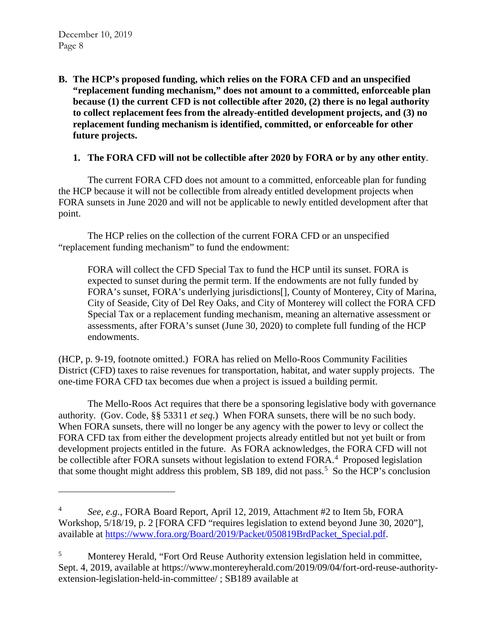$\overline{a}$ 

**B. The HCP's proposed funding, which relies on the FORA CFD and an unspecified "replacement funding mechanism," does not amount to a committed, enforceable plan because (1) the current CFD is not collectible after 2020, (2) there is no legal authority to collect replacement fees from the already-entitled development projects, and (3) no replacement funding mechanism is identified, committed, or enforceable for other future projects.**

## **1. The FORA CFD will not be collectible after 2020 by FORA or by any other entity**.

The current FORA CFD does not amount to a committed, enforceable plan for funding the HCP because it will not be collectible from already entitled development projects when FORA sunsets in June 2020 and will not be applicable to newly entitled development after that point.

The HCP relies on the collection of the current FORA CFD or an unspecified "replacement funding mechanism" to fund the endowment:

FORA will collect the CFD Special Tax to fund the HCP until its sunset. FORA is expected to sunset during the permit term. If the endowments are not fully funded by FORA's sunset, FORA's underlying jurisdictions[], County of Monterey, City of Marina, City of Seaside, City of Del Rey Oaks, and City of Monterey will collect the FORA CFD Special Tax or a replacement funding mechanism, meaning an alternative assessment or assessments, after FORA's sunset (June 30, 2020) to complete full funding of the HCP endowments.

(HCP, p. 9-19, footnote omitted.) FORA has relied on Mello-Roos Community Facilities District (CFD) taxes to raise revenues for transportation, habitat, and water supply projects. The one-time FORA CFD tax becomes due when a project is issued a building permit.

The Mello-Roos Act requires that there be a sponsoring legislative body with governance authority. (Gov. Code, §§ 53311 *et seq*.) When FORA sunsets, there will be no such body. When FORA sunsets, there will no longer be any agency with the power to levy or collect the FORA CFD tax from either the development projects already entitled but not yet built or from development projects entitled in the future. As FORA acknowledges, the FORA CFD will not be collectible after FORA sunsets without legislation to extend FORA.<sup>[4](#page-7-0)</sup> Proposed legislation that some thought might address this problem, SB 189, did not pass.<sup>[5](#page-7-1)</sup> So the HCP's conclusion

<span id="page-7-0"></span><sup>4</sup> *See, e.g.*, FORA Board Report, April 12, 2019, Attachment #2 to Item 5b, FORA Workshop, 5/18/19, p. 2 [FORA CFD "requires legislation to extend beyond June 30, 2020"], available at [https://www.fora.org/Board/2019/Packet/050819BrdPacket\\_Special.pdf.](https://www.fora.org/Board/2019/Packet/050819BrdPacket_Special.pdf)

<span id="page-7-1"></span><sup>5</sup> Monterey Herald, "Fort Ord Reuse Authority extension legislation held in committee, Sept. 4, 2019, available at https://www.montereyherald.com/2019/09/04/fort-ord-reuse-authorityextension-legislation-held-in-committee/ ; SB189 available at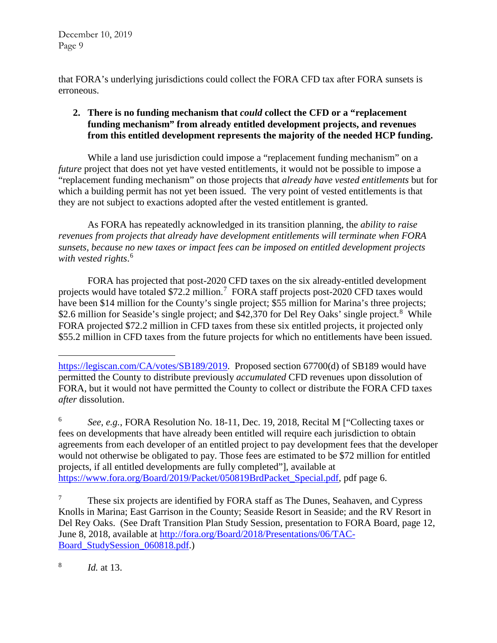that FORA's underlying jurisdictions could collect the FORA CFD tax after FORA sunsets is erroneous.

# **2. There is no funding mechanism that** *could* **collect the CFD or a "replacement funding mechanism" from already entitled development projects, and revenues from this entitled development represents the majority of the needed HCP funding.**

While a land use jurisdiction could impose a "replacement funding mechanism" on a *future* project that does not yet have vested entitlements, it would not be possible to impose a "replacement funding mechanism" on those projects that *already have vested entitlements* but for which a building permit has not yet been issued. The very point of vested entitlements is that they are not subject to exactions adopted after the vested entitlement is granted.

As FORA has repeatedly acknowledged in its transition planning, the *ability to raise revenues from projects that already have development entitlements will terminate when FORA sunsets, because no new taxes or impact fees can be imposed on entitled development projects with vested rights*. [6](#page-8-0)

FORA has projected that post-2020 CFD taxes on the six already-entitled development projects would have totaled \$[7](#page-8-1)2.2 million.<sup>7</sup> FORA staff projects post-2020 CFD taxes would have been \$14 million for the County's single project; \$55 million for Marina's three projects; \$2.6 million for Seaside's single project; and \$42,370 for Del Rey Oaks' single project.<sup>[8](#page-8-2)</sup> While FORA projected \$72.2 million in CFD taxes from these six entitled projects, it projected only \$55.2 million in CFD taxes from the future projects for which no entitlements have been issued.

<span id="page-8-2"></span>8 *Id.* at 13.

 $\overline{a}$ [https://legiscan.com/CA/votes/SB189/2019.](https://legiscan.com/CA/votes/SB189/2019) Proposed section 67700(d) of SB189 would have permitted the County to distribute previously *accumulated* CFD revenues upon dissolution of FORA, but it would not have permitted the County to collect or distribute the FORA CFD taxes *after* dissolution.

<span id="page-8-0"></span><sup>6</sup> *See, e.g.*, FORA Resolution No. 18-11, Dec. 19, 2018, Recital M ["Collecting taxes or fees on developments that have already been entitled will require each jurisdiction to obtain agreements from each developer of an entitled project to pay development fees that the developer would not otherwise be obligated to pay. Those fees are estimated to be \$72 million for entitled projects, if all entitled developments are fully completed"], available at [https://www.fora.org/Board/2019/Packet/050819BrdPacket\\_Special.pdf,](https://www.fora.org/Board/2019/Packet/050819BrdPacket_Special.pdf) pdf page 6.

<span id="page-8-1"></span> $7 \text{ These six projects are identified by FORA staff as The Dunes, Seahaven, and Cypress}$ Knolls in Marina; East Garrison in the County; Seaside Resort in Seaside; and the RV Resort in Del Rey Oaks. (See Draft Transition Plan Study Session, presentation to FORA Board, page 12, June 8, 2018, available at [http://fora.org/Board/2018/Presentations/06/TAC-](http://fora.org/Board/2018/Presentations/06/TAC-Board_StudySession_060818.pdf)Board StudySession 060818.pdf.)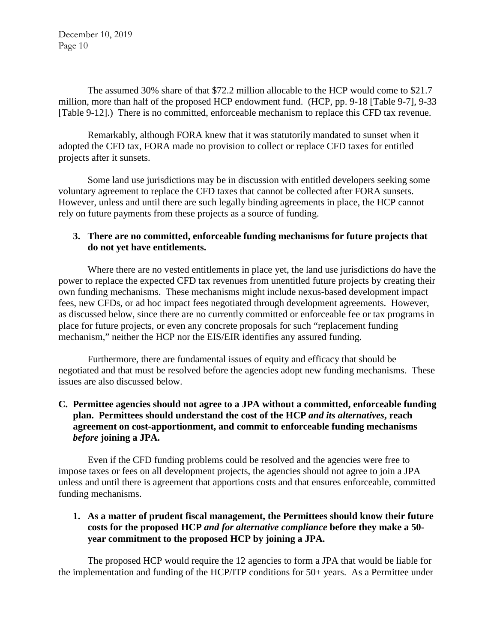The assumed 30% share of that \$72.2 million allocable to the HCP would come to \$21.7 million, more than half of the proposed HCP endowment fund. (HCP, pp. 9-18 [Table 9-7], 9-33 [Table 9-12].) There is no committed, enforceable mechanism to replace this CFD tax revenue.

Remarkably, although FORA knew that it was statutorily mandated to sunset when it adopted the CFD tax, FORA made no provision to collect or replace CFD taxes for entitled projects after it sunsets.

Some land use jurisdictions may be in discussion with entitled developers seeking some voluntary agreement to replace the CFD taxes that cannot be collected after FORA sunsets. However, unless and until there are such legally binding agreements in place, the HCP cannot rely on future payments from these projects as a source of funding.

# **3. There are no committed, enforceable funding mechanisms for future projects that do not yet have entitlements.**

Where there are no vested entitlements in place yet, the land use jurisdictions do have the power to replace the expected CFD tax revenues from unentitled future projects by creating their own funding mechanisms. These mechanisms might include nexus-based development impact fees, new CFDs, or ad hoc impact fees negotiated through development agreements. However, as discussed below, since there are no currently committed or enforceable fee or tax programs in place for future projects, or even any concrete proposals for such "replacement funding mechanism," neither the HCP nor the EIS/EIR identifies any assured funding.

Furthermore, there are fundamental issues of equity and efficacy that should be negotiated and that must be resolved before the agencies adopt new funding mechanisms. These issues are also discussed below.

# **C. Permittee agencies should not agree to a JPA without a committed, enforceable funding plan. Permittees should understand the cost of the HCP** *and its alternatives***, reach agreement on cost-apportionment, and commit to enforceable funding mechanisms**  *before* **joining a JPA.**

Even if the CFD funding problems could be resolved and the agencies were free to impose taxes or fees on all development projects, the agencies should not agree to join a JPA unless and until there is agreement that apportions costs and that ensures enforceable, committed funding mechanisms.

## **1. As a matter of prudent fiscal management, the Permittees should know their future costs for the proposed HCP** *and for alternative compliance* **before they make a 50 year commitment to the proposed HCP by joining a JPA.**

The proposed HCP would require the 12 agencies to form a JPA that would be liable for the implementation and funding of the HCP/ITP conditions for 50+ years. As a Permittee under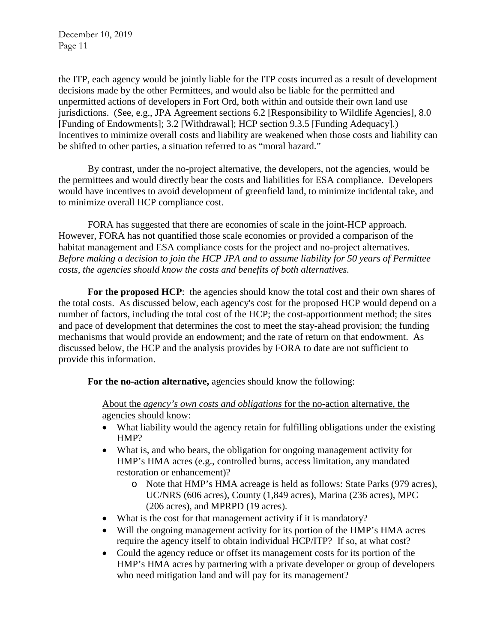the ITP, each agency would be jointly liable for the ITP costs incurred as a result of development decisions made by the other Permittees, and would also be liable for the permitted and unpermitted actions of developers in Fort Ord, both within and outside their own land use jurisdictions. (See, e.g., JPA Agreement sections 6.2 [Responsibility to Wildlife Agencies], 8.0 [Funding of Endowments]; 3.2 [Withdrawal]; HCP section 9.3.5 [Funding Adequacy].) Incentives to minimize overall costs and liability are weakened when those costs and liability can be shifted to other parties, a situation referred to as "moral hazard."

By contrast, under the no-project alternative, the developers, not the agencies, would be the permittees and would directly bear the costs and liabilities for ESA compliance. Developers would have incentives to avoid development of greenfield land, to minimize incidental take, and to minimize overall HCP compliance cost.

FORA has suggested that there are economies of scale in the joint-HCP approach. However, FORA has not quantified those scale economies or provided a comparison of the habitat management and ESA compliance costs for the project and no-project alternatives. *Before making a decision to join the HCP JPA and to assume liability for 50 years of Permittee costs, the agencies should know the costs and benefits of both alternatives.*

**For the proposed HCP**: the agencies should know the total cost and their own shares of the total costs. As discussed below, each agency's cost for the proposed HCP would depend on a number of factors, including the total cost of the HCP; the cost-apportionment method; the sites and pace of development that determines the cost to meet the stay-ahead provision; the funding mechanisms that would provide an endowment; and the rate of return on that endowment. As discussed below, the HCP and the analysis provides by FORA to date are not sufficient to provide this information.

**For the no-action alternative,** agencies should know the following:

About the *agency's own costs and obligations* for the no-action alternative, the agencies should know:

- What liability would the agency retain for fulfilling obligations under the existing HMP?
- What is, and who bears, the obligation for ongoing management activity for HMP's HMA acres (e.g., controlled burns, access limitation, any mandated restoration or enhancement)?
	- o Note that HMP's HMA acreage is held as follows: State Parks (979 acres), UC/NRS (606 acres), County (1,849 acres), Marina (236 acres), MPC (206 acres), and MPRPD (19 acres).
- What is the cost for that management activity if it is mandatory?
- Will the ongoing management activity for its portion of the HMP's HMA acres require the agency itself to obtain individual HCP/ITP? If so, at what cost?
- Could the agency reduce or offset its management costs for its portion of the HMP's HMA acres by partnering with a private developer or group of developers who need mitigation land and will pay for its management?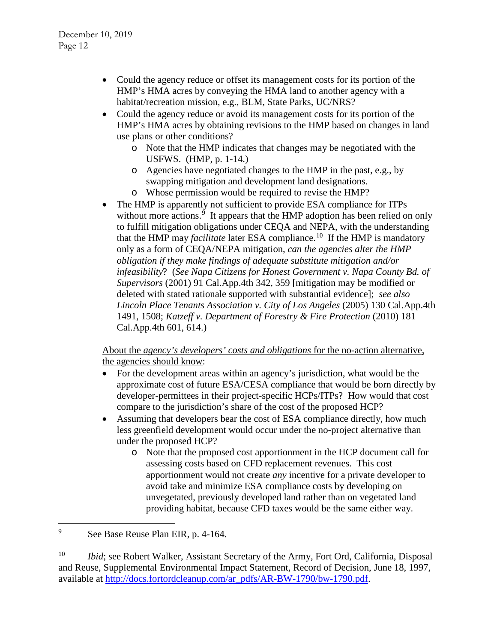- Could the agency reduce or offset its management costs for its portion of the HMP's HMA acres by conveying the HMA land to another agency with a habitat/recreation mission, e.g., BLM, State Parks, UC/NRS?
- Could the agency reduce or avoid its management costs for its portion of the HMP's HMA acres by obtaining revisions to the HMP based on changes in land use plans or other conditions?
	- o Note that the HMP indicates that changes may be negotiated with the USFWS. (HMP, p. 1-14.)
	- o Agencies have negotiated changes to the HMP in the past, e.g., by swapping mitigation and development land designations.
	- o Whose permission would be required to revise the HMP?
- The HMP is apparently not sufficient to provide ESA compliance for ITPs without more actions.<sup>[9](#page-11-0)</sup> It appears that the HMP adoption has been relied on only to fulfill mitigation obligations under CEQA and NEPA, with the understanding that the HMP may *facilitate* later ESA compliance.<sup>10</sup> If the HMP is mandatory only as a form of CEQA/NEPA mitigation, *can the agencies alter the HMP obligation if they make findings of adequate substitute mitigation and/or infeasibility*? (*See Napa Citizens for Honest Government v. Napa County Bd. of Supervisors* (2001) 91 Cal.App.4th 342, 359 [mitigation may be modified or deleted with stated rationale supported with substantial evidence]; *see also Lincoln Place Tenants Association v. City of Los Angeles* (2005) 130 Cal.App.4th 1491, 1508; *Katzeff v. Department of Forestry & Fire Protection* (2010) 181 Cal.App.4th 601, 614.)

About the *agency's developers' costs and obligations* for the no-action alternative, the agencies should know:

- For the development areas within an agency's jurisdiction, what would be the approximate cost of future ESA/CESA compliance that would be born directly by developer-permittees in their project-specific HCPs/ITPs? How would that cost compare to the jurisdiction's share of the cost of the proposed HCP?
- Assuming that developers bear the cost of ESA compliance directly, how much less greenfield development would occur under the no-project alternative than under the proposed HCP?
	- o Note that the proposed cost apportionment in the HCP document call for assessing costs based on CFD replacement revenues. This cost apportionment would not create *any* incentive for a private developer to avoid take and minimize ESA compliance costs by developing on unvegetated, previously developed land rather than on vegetated land providing habitat, because CFD taxes would be the same either way.

<span id="page-11-0"></span> <sup>9</sup> See Base Reuse Plan EIR, p. 4-164.

<span id="page-11-1"></span><sup>&</sup>lt;sup>10</sup> *Ibid*; see Robert Walker, Assistant Secretary of the Army, Fort Ord, California, Disposal and Reuse, Supplemental Environmental Impact Statement, Record of Decision, June 18, 1997, available at [http://docs.fortordcleanup.com/ar\\_pdfs/AR-BW-1790/bw-1790.pdf.](http://docs.fortordcleanup.com/ar_pdfs/AR-BW-1790/bw-1790.pdf)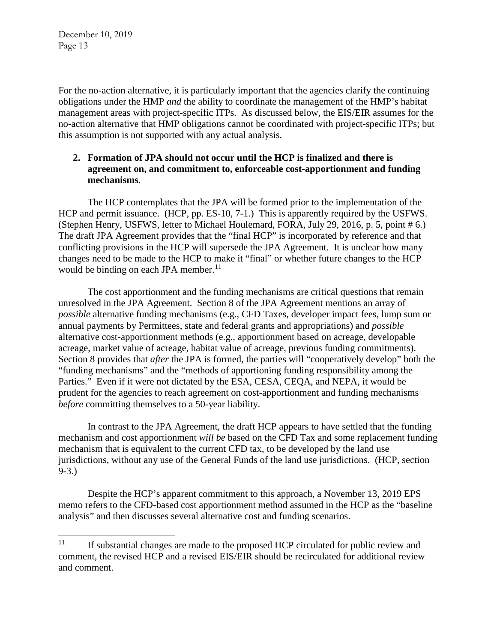For the no-action alternative, it is particularly important that the agencies clarify the continuing obligations under the HMP *and* the ability to coordinate the management of the HMP's habitat management areas with project-specific ITPs. As discussed below, the EIS/EIR assumes for the no-action alternative that HMP obligations cannot be coordinated with project-specific ITPs; but this assumption is not supported with any actual analysis.

## **2. Formation of JPA should not occur until the HCP is finalized and there is agreement on, and commitment to, enforceable cost-apportionment and funding mechanisms**.

The HCP contemplates that the JPA will be formed prior to the implementation of the HCP and permit issuance. (HCP, pp. ES-10, 7-1.) This is apparently required by the USFWS. (Stephen Henry, USFWS, letter to Michael Houlemard, FORA, July 29, 2016, p. 5, point # 6.) The draft JPA Agreement provides that the "final HCP" is incorporated by reference and that conflicting provisions in the HCP will supersede the JPA Agreement. It is unclear how many changes need to be made to the HCP to make it "final" or whether future changes to the HCP would be binding on each JPA member.<sup>[11](#page-12-0)</sup>

The cost apportionment and the funding mechanisms are critical questions that remain unresolved in the JPA Agreement. Section 8 of the JPA Agreement mentions an array of *possible* alternative funding mechanisms (e.g., CFD Taxes, developer impact fees, lump sum or annual payments by Permittees, state and federal grants and appropriations) and *possible* alternative cost-apportionment methods (e.g., apportionment based on acreage, developable acreage, market value of acreage, habitat value of acreage, previous funding commitments). Section 8 provides that *after* the JPA is formed, the parties will "cooperatively develop" both the "funding mechanisms" and the "methods of apportioning funding responsibility among the Parties." Even if it were not dictated by the ESA, CESA, CEQA, and NEPA, it would be prudent for the agencies to reach agreement on cost-apportionment and funding mechanisms *before* committing themselves to a 50-year liability.

In contrast to the JPA Agreement, the draft HCP appears to have settled that the funding mechanism and cost apportionment *will be* based on the CFD Tax and some replacement funding mechanism that is equivalent to the current CFD tax, to be developed by the land use jurisdictions, without any use of the General Funds of the land use jurisdictions. (HCP, section 9-3.)

Despite the HCP's apparent commitment to this approach, a November 13, 2019 EPS memo refers to the CFD-based cost apportionment method assumed in the HCP as the "baseline analysis" and then discusses several alternative cost and funding scenarios.

<span id="page-12-0"></span> $11$  If substantial changes are made to the proposed HCP circulated for public review and comment, the revised HCP and a revised EIS/EIR should be recirculated for additional review and comment.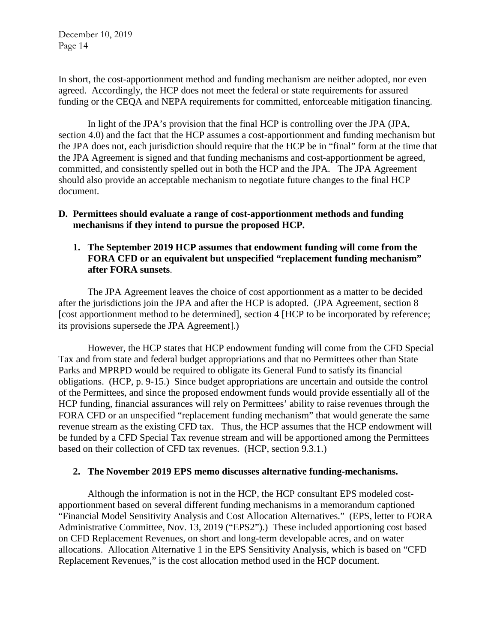In short, the cost-apportionment method and funding mechanism are neither adopted, nor even agreed. Accordingly, the HCP does not meet the federal or state requirements for assured funding or the CEQA and NEPA requirements for committed, enforceable mitigation financing.

In light of the JPA's provision that the final HCP is controlling over the JPA (JPA, section 4.0) and the fact that the HCP assumes a cost-apportionment and funding mechanism but the JPA does not, each jurisdiction should require that the HCP be in "final" form at the time that the JPA Agreement is signed and that funding mechanisms and cost-apportionment be agreed, committed, and consistently spelled out in both the HCP and the JPA. The JPA Agreement should also provide an acceptable mechanism to negotiate future changes to the final HCP document.

### **D. Permittees should evaluate a range of cost-apportionment methods and funding mechanisms if they intend to pursue the proposed HCP.**

### **1. The September 2019 HCP assumes that endowment funding will come from the FORA CFD or an equivalent but unspecified "replacement funding mechanism" after FORA sunsets**.

The JPA Agreement leaves the choice of cost apportionment as a matter to be decided after the jurisdictions join the JPA and after the HCP is adopted. (JPA Agreement, section 8 [cost apportionment method to be determined], section 4 [HCP to be incorporated by reference; its provisions supersede the JPA Agreement].)

However, the HCP states that HCP endowment funding will come from the CFD Special Tax and from state and federal budget appropriations and that no Permittees other than State Parks and MPRPD would be required to obligate its General Fund to satisfy its financial obligations. (HCP, p. 9-15.) Since budget appropriations are uncertain and outside the control of the Permittees, and since the proposed endowment funds would provide essentially all of the HCP funding, financial assurances will rely on Permittees' ability to raise revenues through the FORA CFD or an unspecified "replacement funding mechanism" that would generate the same revenue stream as the existing CFD tax. Thus, the HCP assumes that the HCP endowment will be funded by a CFD Special Tax revenue stream and will be apportioned among the Permittees based on their collection of CFD tax revenues. (HCP, section 9.3.1.)

#### **2. The November 2019 EPS memo discusses alternative funding-mechanisms.**

Although the information is not in the HCP, the HCP consultant EPS modeled costapportionment based on several different funding mechanisms in a memorandum captioned "Financial Model Sensitivity Analysis and Cost Allocation Alternatives." (EPS, letter to FORA Administrative Committee, Nov. 13, 2019 ("EPS2").) These included apportioning cost based on CFD Replacement Revenues, on short and long-term developable acres, and on water allocations. Allocation Alternative 1 in the EPS Sensitivity Analysis, which is based on "CFD Replacement Revenues," is the cost allocation method used in the HCP document.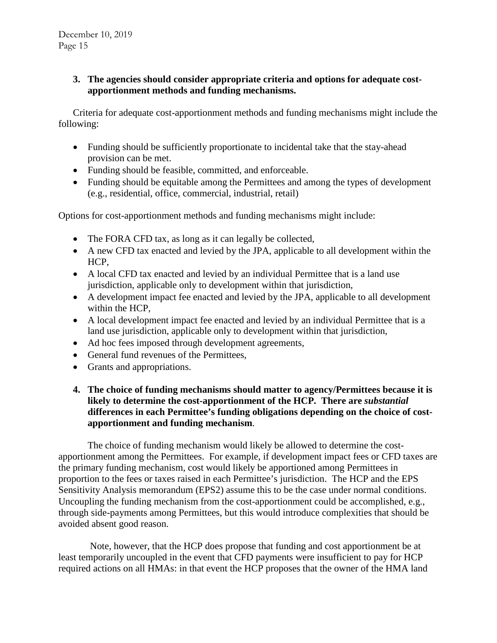## **3. The agencies should consider appropriate criteria and options for adequate costapportionment methods and funding mechanisms.**

Criteria for adequate cost-apportionment methods and funding mechanisms might include the following:

- Funding should be sufficiently proportionate to incidental take that the stay-ahead provision can be met.
- Funding should be feasible, committed, and enforceable.
- Funding should be equitable among the Permittees and among the types of development (e.g., residential, office, commercial, industrial, retail)

Options for cost-apportionment methods and funding mechanisms might include:

- The FORA CFD tax, as long as it can legally be collected,
- A new CFD tax enacted and levied by the JPA, applicable to all development within the HCP,
- A local CFD tax enacted and levied by an individual Permittee that is a land use jurisdiction, applicable only to development within that jurisdiction,
- A development impact fee enacted and levied by the JPA, applicable to all development within the HCP,
- A local development impact fee enacted and levied by an individual Permittee that is a land use jurisdiction, applicable only to development within that jurisdiction,
- Ad hoc fees imposed through development agreements,
- General fund revenues of the Permittees,
- Grants and appropriations.
- **4. The choice of funding mechanisms should matter to agency/Permittees because it is likely to determine the cost-apportionment of the HCP. There are** *substantial*  **differences in each Permittee's funding obligations depending on the choice of costapportionment and funding mechanism**.

The choice of funding mechanism would likely be allowed to determine the costapportionment among the Permittees. For example, if development impact fees or CFD taxes are the primary funding mechanism, cost would likely be apportioned among Permittees in proportion to the fees or taxes raised in each Permittee's jurisdiction. The HCP and the EPS Sensitivity Analysis memorandum (EPS2) assume this to be the case under normal conditions. Uncoupling the funding mechanism from the cost-apportionment could be accomplished, e.g., through side-payments among Permittees, but this would introduce complexities that should be avoided absent good reason.

Note, however, that the HCP does propose that funding and cost apportionment be at least temporarily uncoupled in the event that CFD payments were insufficient to pay for HCP required actions on all HMAs: in that event the HCP proposes that the owner of the HMA land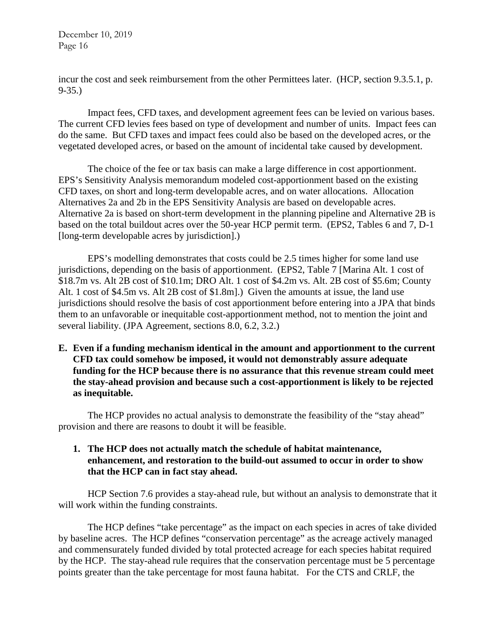incur the cost and seek reimbursement from the other Permittees later. (HCP, section 9.3.5.1, p. 9-35.)

Impact fees, CFD taxes, and development agreement fees can be levied on various bases. The current CFD levies fees based on type of development and number of units. Impact fees can do the same. But CFD taxes and impact fees could also be based on the developed acres, or the vegetated developed acres, or based on the amount of incidental take caused by development.

The choice of the fee or tax basis can make a large difference in cost apportionment. EPS's Sensitivity Analysis memorandum modeled cost-apportionment based on the existing CFD taxes, on short and long-term developable acres, and on water allocations. Allocation Alternatives 2a and 2b in the EPS Sensitivity Analysis are based on developable acres. Alternative 2a is based on short-term development in the planning pipeline and Alternative 2B is based on the total buildout acres over the 50-year HCP permit term. (EPS2, Tables 6 and 7, D-1 [long-term developable acres by jurisdiction].)

EPS's modelling demonstrates that costs could be 2.5 times higher for some land use jurisdictions, depending on the basis of apportionment. (EPS2, Table 7 [Marina Alt. 1 cost of \$18.7m vs. Alt 2B cost of \$10.1m; DRO Alt. 1 cost of \$4.2m vs. Alt. 2B cost of \$5.6m; County Alt. 1 cost of \$4.5m vs. Alt 2B cost of \$1.8m].) Given the amounts at issue, the land use jurisdictions should resolve the basis of cost apportionment before entering into a JPA that binds them to an unfavorable or inequitable cost-apportionment method, not to mention the joint and several liability. (JPA Agreement, sections 8.0, 6.2, 3.2.)

**E. Even if a funding mechanism identical in the amount and apportionment to the current CFD tax could somehow be imposed, it would not demonstrably assure adequate funding for the HCP because there is no assurance that this revenue stream could meet the stay-ahead provision and because such a cost-apportionment is likely to be rejected as inequitable.**

The HCP provides no actual analysis to demonstrate the feasibility of the "stay ahead" provision and there are reasons to doubt it will be feasible.

### **1. The HCP does not actually match the schedule of habitat maintenance, enhancement, and restoration to the build-out assumed to occur in order to show that the HCP can in fact stay ahead.**

HCP Section 7.6 provides a stay-ahead rule, but without an analysis to demonstrate that it will work within the funding constraints.

The HCP defines "take percentage" as the impact on each species in acres of take divided by baseline acres. The HCP defines "conservation percentage" as the acreage actively managed and commensurately funded divided by total protected acreage for each species habitat required by the HCP. The stay-ahead rule requires that the conservation percentage must be 5 percentage points greater than the take percentage for most fauna habitat. For the CTS and CRLF, the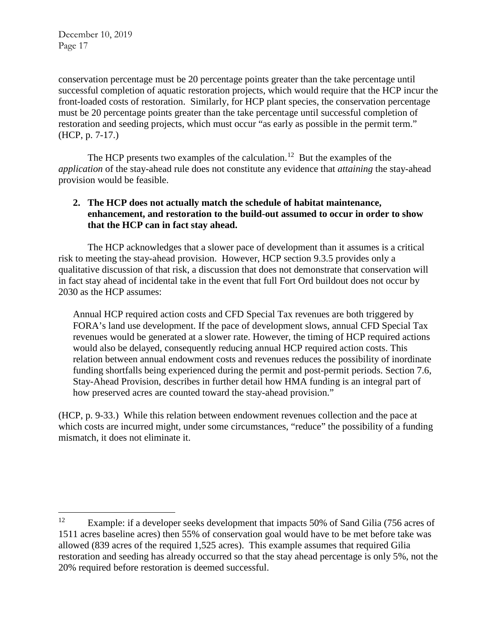conservation percentage must be 20 percentage points greater than the take percentage until successful completion of aquatic restoration projects, which would require that the HCP incur the front-loaded costs of restoration. Similarly, for HCP plant species, the conservation percentage must be 20 percentage points greater than the take percentage until successful completion of restoration and seeding projects, which must occur "as early as possible in the permit term." (HCP, p. 7-17.)

The HCP presents two examples of the calculation.<sup>12</sup> But the examples of the *application* of the stay-ahead rule does not constitute any evidence that *attaining* the stay-ahead provision would be feasible.

# **2. The HCP does not actually match the schedule of habitat maintenance, enhancement, and restoration to the build-out assumed to occur in order to show that the HCP can in fact stay ahead.**

The HCP acknowledges that a slower pace of development than it assumes is a critical risk to meeting the stay-ahead provision. However, HCP section 9.3.5 provides only a qualitative discussion of that risk, a discussion that does not demonstrate that conservation will in fact stay ahead of incidental take in the event that full Fort Ord buildout does not occur by 2030 as the HCP assumes:

Annual HCP required action costs and CFD Special Tax revenues are both triggered by FORA's land use development. If the pace of development slows, annual CFD Special Tax revenues would be generated at a slower rate. However, the timing of HCP required actions would also be delayed, consequently reducing annual HCP required action costs. This relation between annual endowment costs and revenues reduces the possibility of inordinate funding shortfalls being experienced during the permit and post-permit periods. Section 7.6, Stay-Ahead Provision, describes in further detail how HMA funding is an integral part of how preserved acres are counted toward the stay-ahead provision."

(HCP, p. 9-33.) While this relation between endowment revenues collection and the pace at which costs are incurred might, under some circumstances, "reduce" the possibility of a funding mismatch, it does not eliminate it.

<span id="page-16-0"></span><sup>&</sup>lt;sup>12</sup> Example: if a developer seeks development that impacts 50% of Sand Gilia (756 acres of 1511 acres baseline acres) then 55% of conservation goal would have to be met before take was allowed (839 acres of the required 1,525 acres). This example assumes that required Gilia restoration and seeding has already occurred so that the stay ahead percentage is only 5%, not the 20% required before restoration is deemed successful.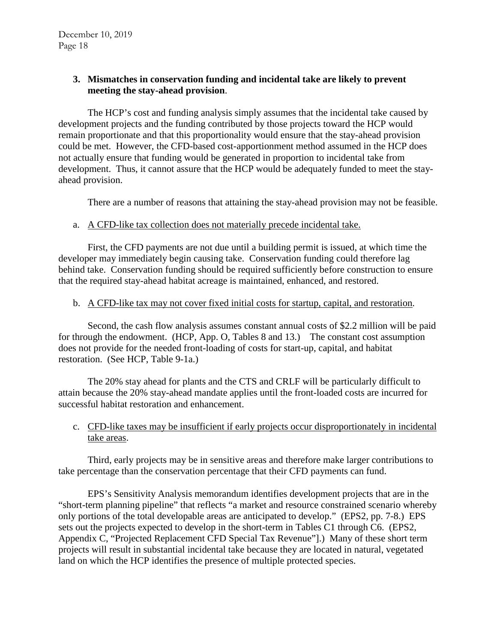## **3. Mismatches in conservation funding and incidental take are likely to prevent meeting the stay-ahead provision**.

The HCP's cost and funding analysis simply assumes that the incidental take caused by development projects and the funding contributed by those projects toward the HCP would remain proportionate and that this proportionality would ensure that the stay-ahead provision could be met. However, the CFD-based cost-apportionment method assumed in the HCP does not actually ensure that funding would be generated in proportion to incidental take from development. Thus, it cannot assure that the HCP would be adequately funded to meet the stayahead provision.

There are a number of reasons that attaining the stay-ahead provision may not be feasible.

### a. A CFD-like tax collection does not materially precede incidental take.

First, the CFD payments are not due until a building permit is issued, at which time the developer may immediately begin causing take. Conservation funding could therefore lag behind take. Conservation funding should be required sufficiently before construction to ensure that the required stay-ahead habitat acreage is maintained, enhanced, and restored.

### b. A CFD-like tax may not cover fixed initial costs for startup, capital, and restoration.

Second, the cash flow analysis assumes constant annual costs of \$2.2 million will be paid for through the endowment. (HCP, App. O, Tables 8 and 13.) The constant cost assumption does not provide for the needed front-loading of costs for start-up, capital, and habitat restoration. (See HCP, Table 9-1a.)

The 20% stay ahead for plants and the CTS and CRLF will be particularly difficult to attain because the 20% stay-ahead mandate applies until the front-loaded costs are incurred for successful habitat restoration and enhancement.

# c. CFD-like taxes may be insufficient if early projects occur disproportionately in incidental take areas.

Third, early projects may be in sensitive areas and therefore make larger contributions to take percentage than the conservation percentage that their CFD payments can fund.

EPS's Sensitivity Analysis memorandum identifies development projects that are in the "short-term planning pipeline" that reflects "a market and resource constrained scenario whereby only portions of the total developable areas are anticipated to develop." (EPS2, pp. 7-8.) EPS sets out the projects expected to develop in the short-term in Tables C1 through C6. (EPS2, Appendix C, "Projected Replacement CFD Special Tax Revenue"].) Many of these short term projects will result in substantial incidental take because they are located in natural, vegetated land on which the HCP identifies the presence of multiple protected species.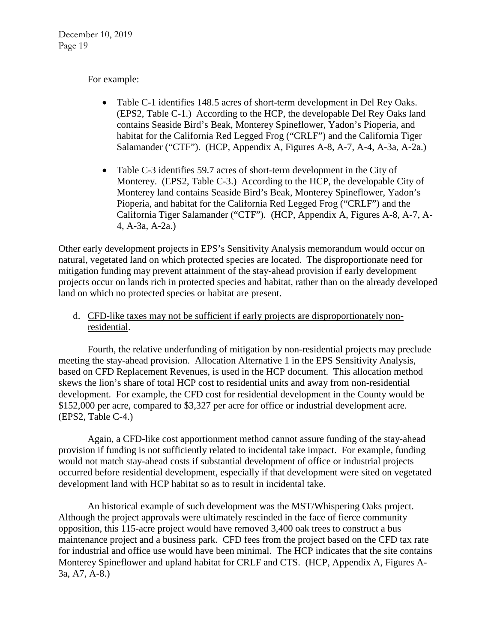### For example:

- Table C-1 identifies 148.5 acres of short-term development in Del Rey Oaks. (EPS2, Table C-1.) According to the HCP, the developable Del Rey Oaks land contains Seaside Bird's Beak, Monterey Spineflower, Yadon's Pioperia, and habitat for the California Red Legged Frog ("CRLF") and the California Tiger Salamander ("CTF"). (HCP, Appendix A, Figures A-8, A-7, A-4, A-3a, A-2a.)
- Table C-3 identifies 59.7 acres of short-term development in the City of Monterey. (EPS2, Table C-3.) According to the HCP, the developable City of Monterey land contains Seaside Bird's Beak, Monterey Spineflower, Yadon's Pioperia, and habitat for the California Red Legged Frog ("CRLF") and the California Tiger Salamander ("CTF"). (HCP, Appendix A, Figures A-8, A-7, A-4, A-3a, A-2a.)

Other early development projects in EPS's Sensitivity Analysis memorandum would occur on natural, vegetated land on which protected species are located. The disproportionate need for mitigation funding may prevent attainment of the stay-ahead provision if early development projects occur on lands rich in protected species and habitat, rather than on the already developed land on which no protected species or habitat are present.

d. CFD-like taxes may not be sufficient if early projects are disproportionately nonresidential.

Fourth, the relative underfunding of mitigation by non-residential projects may preclude meeting the stay-ahead provision. Allocation Alternative 1 in the EPS Sensitivity Analysis, based on CFD Replacement Revenues, is used in the HCP document. This allocation method skews the lion's share of total HCP cost to residential units and away from non-residential development. For example, the CFD cost for residential development in the County would be \$152,000 per acre, compared to \$3,327 per acre for office or industrial development acre. (EPS2, Table C-4.)

Again, a CFD-like cost apportionment method cannot assure funding of the stay-ahead provision if funding is not sufficiently related to incidental take impact. For example, funding would not match stay-ahead costs if substantial development of office or industrial projects occurred before residential development, especially if that development were sited on vegetated development land with HCP habitat so as to result in incidental take.

An historical example of such development was the MST/Whispering Oaks project. Although the project approvals were ultimately rescinded in the face of fierce community opposition, this 115-acre project would have removed 3,400 oak trees to construct a bus maintenance project and a business park. CFD fees from the project based on the CFD tax rate for industrial and office use would have been minimal. The HCP indicates that the site contains Monterey Spineflower and upland habitat for CRLF and CTS. (HCP, Appendix A, Figures A-3a, A7, A-8.)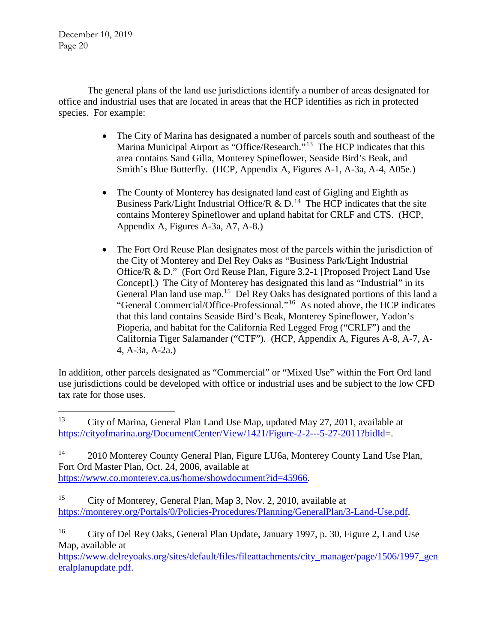The general plans of the land use jurisdictions identify a number of areas designated for office and industrial uses that are located in areas that the HCP identifies as rich in protected species. For example:

- The City of Marina has designated a number of parcels south and southeast of the Marina Municipal Airport as "Office/Research."<sup>13</sup> The HCP indicates that this area contains Sand Gilia, Monterey Spineflower, Seaside Bird's Beak, and Smith's Blue Butterfly. (HCP, Appendix A, Figures A-1, A-3a, A-4, A05e.)
- The County of Monterey has designated land east of Gigling and Eighth as Business Park/Light Industrial Office/R & D.<sup>14</sup> The HCP indicates that the site contains Monterey Spineflower and upland habitat for CRLF and CTS. (HCP, Appendix A, Figures A-3a, A7, A-8.)
- The Fort Ord Reuse Plan designates most of the parcels within the jurisdiction of the City of Monterey and Del Rey Oaks as "Business Park/Light Industrial Office/R & D." (Fort Ord Reuse Plan, Figure 3.2-1 [Proposed Project Land Use Concept].) The City of Monterey has designated this land as "Industrial" in its General Plan land use map.[15](#page-19-2) Del Rey Oaks has designated portions of this land a "General Commercial/Office-Professional."[16](#page-19-3) As noted above, the HCP indicates that this land contains Seaside Bird's Beak, Monterey Spineflower, Yadon's Pioperia, and habitat for the California Red Legged Frog ("CRLF") and the California Tiger Salamander ("CTF"). (HCP, Appendix A, Figures A-8, A-7, A-4, A-3a, A-2a.)

In addition, other parcels designated as "Commercial" or "Mixed Use" within the Fort Ord land use jurisdictions could be developed with office or industrial uses and be subject to the low CFD tax rate for those uses.

<span id="page-19-1"></span><sup>14</sup> 2010 Monterey County General Plan, Figure LU6a, Monterey County Land Use Plan, Fort Ord Master Plan, Oct. 24, 2006, available at [https://www.co.monterey.ca.us/home/showdocument?id=45966.](https://www.co.monterey.ca.us/home/showdocument?id=45966)

<span id="page-19-2"></span><sup>15</sup> City of Monterey, General Plan, Map 3, Nov. 2, 2010, available at [https://monterey.org/Portals/0/Policies-Procedures/Planning/GeneralPlan/3-Land-Use.pdf.](https://monterey.org/Portals/0/Policies-Procedures/Planning/GeneralPlan/3-Land-Use.pdf)

[https://www.delreyoaks.org/sites/default/files/fileattachments/city\\_manager/page/1506/1997\\_gen](https://www.delreyoaks.org/sites/default/files/fileattachments/city_manager/page/1506/1997_generalplanupdate.pdf) [eralplanupdate.pdf.](https://www.delreyoaks.org/sites/default/files/fileattachments/city_manager/page/1506/1997_generalplanupdate.pdf)

<span id="page-19-0"></span> <sup>13</sup> City of Marina, General Plan Land Use Map, updated May 27, 2011, available at [https://cityofmarina.org/DocumentCenter/View/1421/Figure-2-2---5-27-2011?bidId=](https://cityofmarina.org/DocumentCenter/View/1421/Figure-2-2---5-27-2011?bidId).

<span id="page-19-3"></span><sup>16</sup> City of Del Rey Oaks, General Plan Update, January 1997, p. 30, Figure 2, Land Use Map, available at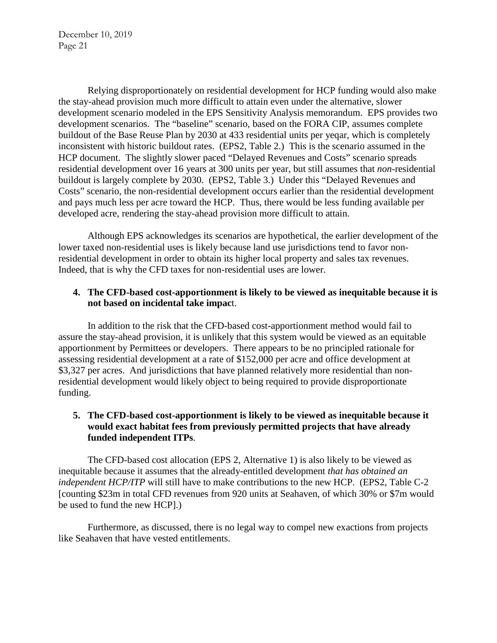Relying disproportionately on residential development for HCP funding would also make the stay-ahead provision much more difficult to attain even under the alternative, slower development scenario modeled in the EPS Sensitivity Analysis memorandum. EPS provides two development scenarios. The "baseline" scenario, based on the FORA CIP, assumes complete buildout of the Base Reuse Plan by 2030 at 433 residential units per yeqar, which is completely inconsistent with historic buildout rates. (EPS2, Table 2.) This is the scenario assumed in the HCP document. The slightly slower paced "Delayed Revenues and Costs" scenario spreads residential development over 16 years at 300 units per year, but still assumes that *non*-residential buildout is largely complete by 2030. (EPS2, Table 3.) Under this "Delayed Revenues and Costs" scenario, the non-residential development occurs earlier than the residential development and pays much less per acre toward the HCP. Thus, there would be less funding available per developed acre, rendering the stay-ahead provision more difficult to attain.

Although EPS acknowledges its scenarios are hypothetical, the earlier development of the lower taxed non-residential uses is likely because land use jurisdictions tend to favor nonresidential development in order to obtain its higher local property and sales tax revenues. Indeed, that is why the CFD taxes for non-residential uses are lower.

### **4. The CFD-based cost-apportionment is likely to be viewed as inequitable because it is not based on incidental take impac**t.

In addition to the risk that the CFD-based cost-apportionment method would fail to assure the stay-ahead provision, it is unlikely that this system would be viewed as an equitable apportionment by Permittees or developers. There appears to be no principled rationale for assessing residential development at a rate of \$152,000 per acre and office development at \$3,327 per acres. And jurisdictions that have planned relatively more residential than nonresidential development would likely object to being required to provide disproportionate funding.

## **5. The CFD-based cost-apportionment is likely to be viewed as inequitable because it would exact habitat fees from previously permitted projects that have already funded independent ITPs**.

The CFD-based cost allocation (EPS 2, Alternative 1) is also likely to be viewed as inequitable because it assumes that the already-entitled development *that has obtained an independent HCP/ITP* will still have to make contributions to the new HCP. (EPS2, Table C-2 [counting \$23m in total CFD revenues from 920 units at Seahaven, of which 30% or \$7m would be used to fund the new HCP].)

Furthermore, as discussed, there is no legal way to compel new exactions from projects like Seahaven that have vested entitlements.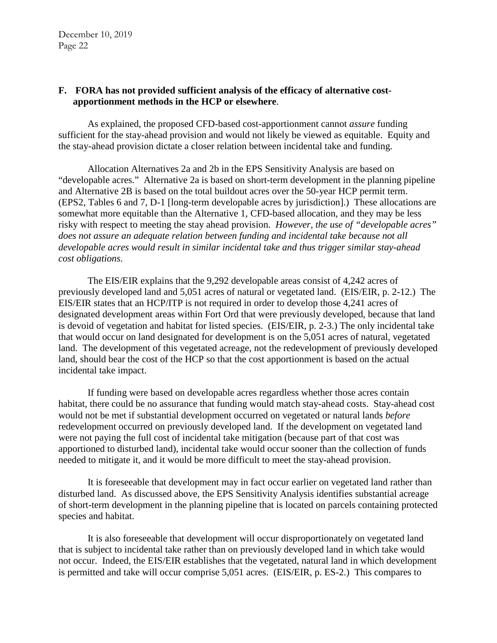#### **F. FORA has not provided sufficient analysis of the efficacy of alternative costapportionment methods in the HCP or elsewhere**.

As explained, the proposed CFD-based cost-apportionment cannot *assure* funding sufficient for the stay-ahead provision and would not likely be viewed as equitable. Equity and the stay-ahead provision dictate a closer relation between incidental take and funding.

Allocation Alternatives 2a and 2b in the EPS Sensitivity Analysis are based on "developable acres." Alternative 2a is based on short-term development in the planning pipeline and Alternative 2B is based on the total buildout acres over the 50-year HCP permit term. (EPS2, Tables 6 and 7, D-1 [long-term developable acres by jurisdiction].) These allocations are somewhat more equitable than the Alternative 1, CFD-based allocation, and they may be less risky with respect to meeting the stay ahead provision. *However, the use of "developable acres" does not assure an adequate relation between funding and incidental take because not all developable acres would result in similar incidental take and thus trigger similar stay-ahead cost obligations*.

The EIS/EIR explains that the 9,292 developable areas consist of 4,242 acres of previously developed land and 5,051 acres of natural or vegetated land. (EIS/EIR, p. 2-12.) The EIS/EIR states that an HCP/ITP is not required in order to develop those 4,241 acres of designated development areas within Fort Ord that were previously developed, because that land is devoid of vegetation and habitat for listed species. (EIS/EIR, p. 2-3.) The only incidental take that would occur on land designated for development is on the 5,051 acres of natural, vegetated land. The development of this vegetated acreage, not the redevelopment of previously developed land, should bear the cost of the HCP so that the cost apportionment is based on the actual incidental take impact.

If funding were based on developable acres regardless whether those acres contain habitat, there could be no assurance that funding would match stay-ahead costs. Stay-ahead cost would not be met if substantial development occurred on vegetated or natural lands *before* redevelopment occurred on previously developed land. If the development on vegetated land were not paying the full cost of incidental take mitigation (because part of that cost was apportioned to disturbed land), incidental take would occur sooner than the collection of funds needed to mitigate it, and it would be more difficult to meet the stay-ahead provision.

It is foreseeable that development may in fact occur earlier on vegetated land rather than disturbed land. As discussed above, the EPS Sensitivity Analysis identifies substantial acreage of short-term development in the planning pipeline that is located on parcels containing protected species and habitat.

It is also foreseeable that development will occur disproportionately on vegetated land that is subject to incidental take rather than on previously developed land in which take would not occur. Indeed, the EIS/EIR establishes that the vegetated, natural land in which development is permitted and take will occur comprise 5,051 acres. (EIS/EIR, p. ES-2.) This compares to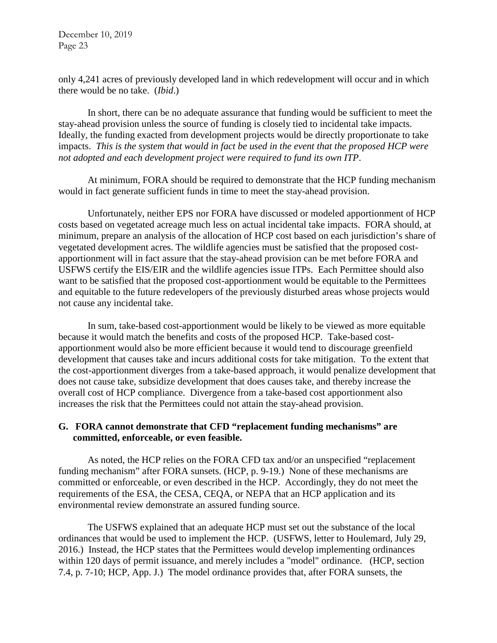only 4,241 acres of previously developed land in which redevelopment will occur and in which there would be no take. (*Ibid*.)

In short, there can be no adequate assurance that funding would be sufficient to meet the stay-ahead provision unless the source of funding is closely tied to incidental take impacts. Ideally, the funding exacted from development projects would be directly proportionate to take impacts. *This is the system that would in fact be used in the event that the proposed HCP were not adopted and each development project were required to fund its own ITP*.

At minimum, FORA should be required to demonstrate that the HCP funding mechanism would in fact generate sufficient funds in time to meet the stay-ahead provision.

Unfortunately, neither EPS nor FORA have discussed or modeled apportionment of HCP costs based on vegetated acreage much less on actual incidental take impacts. FORA should, at minimum, prepare an analysis of the allocation of HCP cost based on each jurisdiction's share of vegetated development acres. The wildlife agencies must be satisfied that the proposed costapportionment will in fact assure that the stay-ahead provision can be met before FORA and USFWS certify the EIS/EIR and the wildlife agencies issue ITPs. Each Permittee should also want to be satisfied that the proposed cost-apportionment would be equitable to the Permittees and equitable to the future redevelopers of the previously disturbed areas whose projects would not cause any incidental take.

In sum, take-based cost-apportionment would be likely to be viewed as more equitable because it would match the benefits and costs of the proposed HCP. Take-based costapportionment would also be more efficient because it would tend to discourage greenfield development that causes take and incurs additional costs for take mitigation. To the extent that the cost-apportionment diverges from a take-based approach, it would penalize development that does not cause take, subsidize development that does causes take, and thereby increase the overall cost of HCP compliance. Divergence from a take-based cost apportionment also increases the risk that the Permittees could not attain the stay-ahead provision.

#### **G. FORA cannot demonstrate that CFD "replacement funding mechanisms" are committed, enforceable, or even feasible.**

As noted, the HCP relies on the FORA CFD tax and/or an unspecified "replacement funding mechanism" after FORA sunsets. (HCP, p. 9-19.) None of these mechanisms are committed or enforceable, or even described in the HCP. Accordingly, they do not meet the requirements of the ESA, the CESA, CEQA, or NEPA that an HCP application and its environmental review demonstrate an assured funding source.

The USFWS explained that an adequate HCP must set out the substance of the local ordinances that would be used to implement the HCP. (USFWS, letter to Houlemard, July 29, 2016.) Instead, the HCP states that the Permittees would develop implementing ordinances within 120 days of permit issuance, and merely includes a "model" ordinance. (HCP, section 7.4, p. 7-10; HCP, App. J.) The model ordinance provides that, after FORA sunsets, the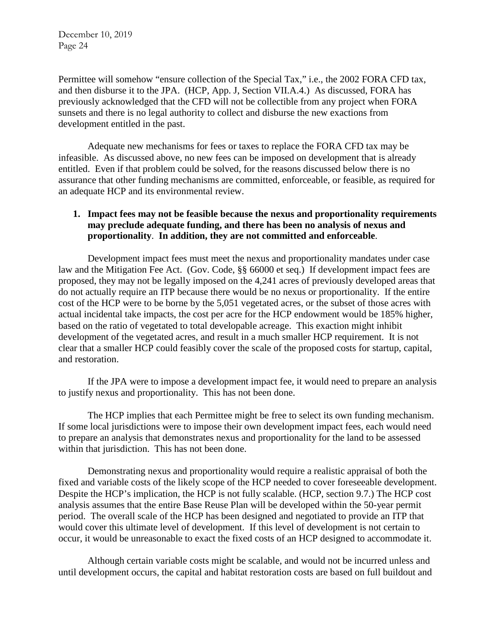Permittee will somehow "ensure collection of the Special Tax," i.e., the 2002 FORA CFD tax, and then disburse it to the JPA. (HCP, App. J, Section VII.A.4.) As discussed, FORA has previously acknowledged that the CFD will not be collectible from any project when FORA sunsets and there is no legal authority to collect and disburse the new exactions from development entitled in the past.

Adequate new mechanisms for fees or taxes to replace the FORA CFD tax may be infeasible. As discussed above, no new fees can be imposed on development that is already entitled. Even if that problem could be solved, for the reasons discussed below there is no assurance that other funding mechanisms are committed, enforceable, or feasible, as required for an adequate HCP and its environmental review.

## **1. Impact fees may not be feasible because the nexus and proportionality requirements may preclude adequate funding, and there has been no analysis of nexus and proportionality**. **In addition, they are not committed and enforceable**.

Development impact fees must meet the nexus and proportionality mandates under case law and the Mitigation Fee Act. (Gov. Code, §§ 66000 et seq.) If development impact fees are proposed, they may not be legally imposed on the 4,241 acres of previously developed areas that do not actually require an ITP because there would be no nexus or proportionality. If the entire cost of the HCP were to be borne by the 5,051 vegetated acres, or the subset of those acres with actual incidental take impacts, the cost per acre for the HCP endowment would be 185% higher, based on the ratio of vegetated to total developable acreage. This exaction might inhibit development of the vegetated acres, and result in a much smaller HCP requirement. It is not clear that a smaller HCP could feasibly cover the scale of the proposed costs for startup, capital, and restoration.

If the JPA were to impose a development impact fee, it would need to prepare an analysis to justify nexus and proportionality. This has not been done.

The HCP implies that each Permittee might be free to select its own funding mechanism. If some local jurisdictions were to impose their own development impact fees, each would need to prepare an analysis that demonstrates nexus and proportionality for the land to be assessed within that jurisdiction. This has not been done.

Demonstrating nexus and proportionality would require a realistic appraisal of both the fixed and variable costs of the likely scope of the HCP needed to cover foreseeable development. Despite the HCP's implication, the HCP is not fully scalable. (HCP, section 9.7.) The HCP cost analysis assumes that the entire Base Reuse Plan will be developed within the 50-year permit period. The overall scale of the HCP has been designed and negotiated to provide an ITP that would cover this ultimate level of development. If this level of development is not certain to occur, it would be unreasonable to exact the fixed costs of an HCP designed to accommodate it.

Although certain variable costs might be scalable, and would not be incurred unless and until development occurs, the capital and habitat restoration costs are based on full buildout and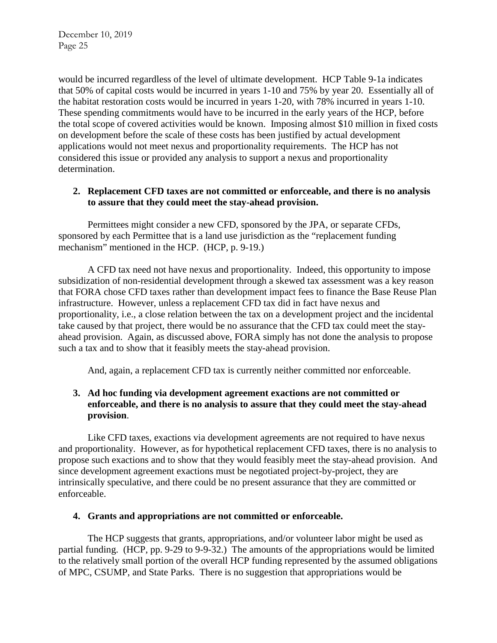would be incurred regardless of the level of ultimate development. HCP Table 9-1a indicates that 50% of capital costs would be incurred in years 1-10 and 75% by year 20. Essentially all of the habitat restoration costs would be incurred in years 1-20, with 78% incurred in years 1-10. These spending commitments would have to be incurred in the early years of the HCP, before the total scope of covered activities would be known. Imposing almost \$10 million in fixed costs on development before the scale of these costs has been justified by actual development applications would not meet nexus and proportionality requirements. The HCP has not considered this issue or provided any analysis to support a nexus and proportionality determination.

### **2. Replacement CFD taxes are not committed or enforceable, and there is no analysis to assure that they could meet the stay-ahead provision.**

Permittees might consider a new CFD, sponsored by the JPA, or separate CFDs, sponsored by each Permittee that is a land use jurisdiction as the "replacement funding mechanism" mentioned in the HCP. (HCP, p. 9-19.)

A CFD tax need not have nexus and proportionality. Indeed, this opportunity to impose subsidization of non-residential development through a skewed tax assessment was a key reason that FORA chose CFD taxes rather than development impact fees to finance the Base Reuse Plan infrastructure. However, unless a replacement CFD tax did in fact have nexus and proportionality, i.e., a close relation between the tax on a development project and the incidental take caused by that project, there would be no assurance that the CFD tax could meet the stayahead provision. Again, as discussed above, FORA simply has not done the analysis to propose such a tax and to show that it feasibly meets the stay-ahead provision.

And, again, a replacement CFD tax is currently neither committed nor enforceable.

## **3. Ad hoc funding via development agreement exactions are not committed or enforceable, and there is no analysis to assure that they could meet the stay-ahead provision**.

Like CFD taxes, exactions via development agreements are not required to have nexus and proportionality. However, as for hypothetical replacement CFD taxes, there is no analysis to propose such exactions and to show that they would feasibly meet the stay-ahead provision. And since development agreement exactions must be negotiated project-by-project, they are intrinsically speculative, and there could be no present assurance that they are committed or enforceable.

#### **4. Grants and appropriations are not committed or enforceable.**

The HCP suggests that grants, appropriations, and/or volunteer labor might be used as partial funding. (HCP, pp. 9-29 to 9-9-32.) The amounts of the appropriations would be limited to the relatively small portion of the overall HCP funding represented by the assumed obligations of MPC, CSUMP, and State Parks. There is no suggestion that appropriations would be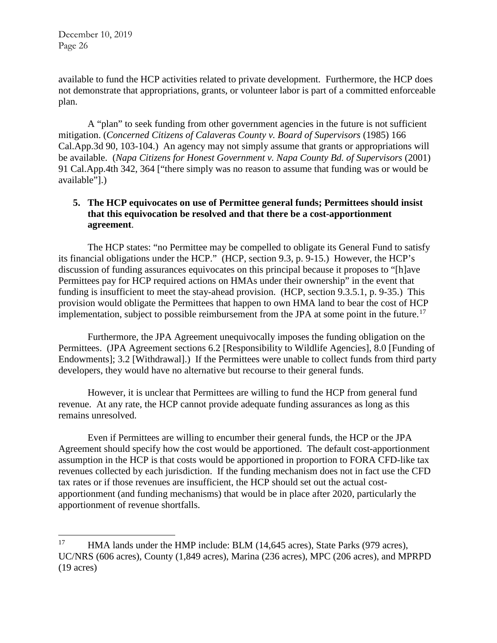available to fund the HCP activities related to private development. Furthermore, the HCP does not demonstrate that appropriations, grants, or volunteer labor is part of a committed enforceable plan.

A "plan" to seek funding from other government agencies in the future is not sufficient mitigation. (*Concerned Citizens of Calaveras County v. Board of Supervisors* (1985) 166 Cal.App.3d 90, 103-104.) An agency may not simply assume that grants or appropriations will be available. (*Napa Citizens for Honest Government v. Napa County Bd. of Supervisors* (2001) 91 Cal.App.4th 342, 364 ["there simply was no reason to assume that funding was or would be available"].)

## **5. The HCP equivocates on use of Permittee general funds; Permittees should insist that this equivocation be resolved and that there be a cost-apportionment agreement**.

The HCP states: "no Permittee may be compelled to obligate its General Fund to satisfy its financial obligations under the HCP." (HCP, section 9.3, p. 9-15.) However, the HCP's discussion of funding assurances equivocates on this principal because it proposes to "[h]ave Permittees pay for HCP required actions on HMAs under their ownership" in the event that funding is insufficient to meet the stay-ahead provision. (HCP, section 9.3.5.1, p. 9-35.) This provision would obligate the Permittees that happen to own HMA land to bear the cost of HCP implementation, subject to possible reimbursement from the JPA at some point in the future.<sup>[17](#page-25-0)</sup>

Furthermore, the JPA Agreement unequivocally imposes the funding obligation on the Permittees. (JPA Agreement sections 6.2 [Responsibility to Wildlife Agencies], 8.0 [Funding of Endowments]; 3.2 [Withdrawal].) If the Permittees were unable to collect funds from third party developers, they would have no alternative but recourse to their general funds.

However, it is unclear that Permittees are willing to fund the HCP from general fund revenue. At any rate, the HCP cannot provide adequate funding assurances as long as this remains unresolved.

Even if Permittees are willing to encumber their general funds, the HCP or the JPA Agreement should specify how the cost would be apportioned. The default cost-apportionment assumption in the HCP is that costs would be apportioned in proportion to FORA CFD-like tax revenues collected by each jurisdiction. If the funding mechanism does not in fact use the CFD tax rates or if those revenues are insufficient, the HCP should set out the actual costapportionment (and funding mechanisms) that would be in place after 2020, particularly the apportionment of revenue shortfalls.

<span id="page-25-0"></span><sup>&</sup>lt;sup>17</sup> HMA lands under the HMP include: BLM (14,645 acres), State Parks (979 acres), UC/NRS (606 acres), County (1,849 acres), Marina (236 acres), MPC (206 acres), and MPRPD (19 acres)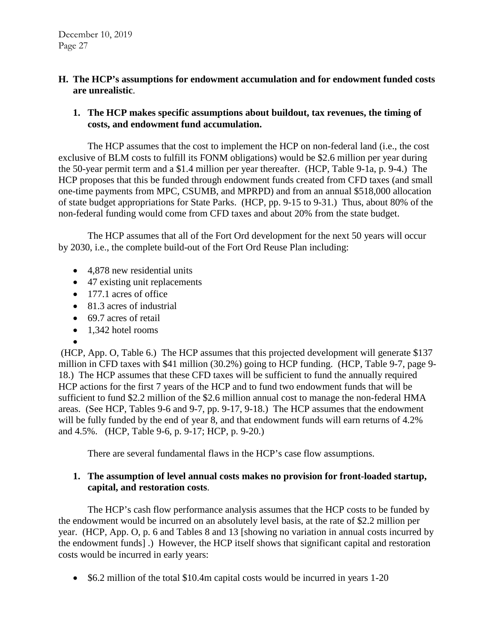#### **H. The HCP's assumptions for endowment accumulation and for endowment funded costs are unrealistic**.

## **1. The HCP makes specific assumptions about buildout, tax revenues, the timing of costs, and endowment fund accumulation.**

The HCP assumes that the cost to implement the HCP on non-federal land (i.e., the cost exclusive of BLM costs to fulfill its FONM obligations) would be \$2.6 million per year during the 50-year permit term and a \$1.4 million per year thereafter. (HCP, Table 9-1a, p. 9-4.) The HCP proposes that this be funded through endowment funds created from CFD taxes (and small one-time payments from MPC, CSUMB, and MPRPD) and from an annual \$518,000 allocation of state budget appropriations for State Parks. (HCP, pp. 9-15 to 9-31.) Thus, about 80% of the non-federal funding would come from CFD taxes and about 20% from the state budget.

The HCP assumes that all of the Fort Ord development for the next 50 years will occur by 2030, i.e., the complete build-out of the Fort Ord Reuse Plan including:

- 4,878 new residential units
- 47 existing unit replacements
- 177.1 acres of office
- 81.3 acres of industrial
- 69.7 acres of retail
- 1,342 hotel rooms
- •

(HCP, App. O, Table 6.) The HCP assumes that this projected development will generate \$137 million in CFD taxes with \$41 million (30.2%) going to HCP funding. (HCP, Table 9-7, page 9- 18.) The HCP assumes that these CFD taxes will be sufficient to fund the annually required HCP actions for the first 7 years of the HCP and to fund two endowment funds that will be sufficient to fund \$2.2 million of the \$2.6 million annual cost to manage the non-federal HMA areas. (See HCP, Tables 9-6 and 9-7, pp. 9-17, 9-18.) The HCP assumes that the endowment will be fully funded by the end of year 8, and that endowment funds will earn returns of 4.2% and 4.5%. (HCP, Table 9-6, p. 9-17; HCP, p. 9-20.)

There are several fundamental flaws in the HCP's case flow assumptions.

### **1. The assumption of level annual costs makes no provision for front-loaded startup, capital, and restoration costs**.

The HCP's cash flow performance analysis assumes that the HCP costs to be funded by the endowment would be incurred on an absolutely level basis, at the rate of \$2.2 million per year. (HCP, App. O, p. 6 and Tables 8 and 13 [showing no variation in annual costs incurred by the endowment funds] .) However, the HCP itself shows that significant capital and restoration costs would be incurred in early years:

• \$6.2 million of the total \$10.4m capital costs would be incurred in years 1-20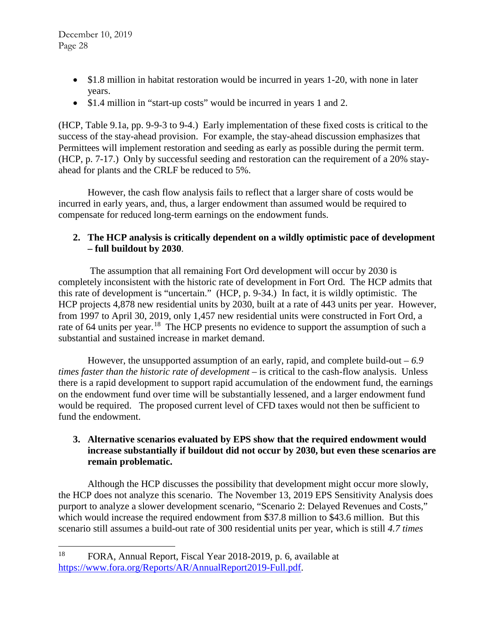- \$1.8 million in habitat restoration would be incurred in years 1-20, with none in later years.
- \$1.4 million in "start-up costs" would be incurred in years 1 and 2.

(HCP, Table 9.1a, pp. 9-9-3 to 9-4.) Early implementation of these fixed costs is critical to the success of the stay-ahead provision. For example, the stay-ahead discussion emphasizes that Permittees will implement restoration and seeding as early as possible during the permit term. (HCP, p. 7-17.) Only by successful seeding and restoration can the requirement of a 20% stayahead for plants and the CRLF be reduced to 5%.

However, the cash flow analysis fails to reflect that a larger share of costs would be incurred in early years, and, thus, a larger endowment than assumed would be required to compensate for reduced long-term earnings on the endowment funds.

# **2. The HCP analysis is critically dependent on a wildly optimistic pace of development – full buildout by 2030**.

The assumption that all remaining Fort Ord development will occur by 2030 is completely inconsistent with the historic rate of development in Fort Ord. The HCP admits that this rate of development is "uncertain." (HCP, p. 9-34.) In fact, it is wildly optimistic. The HCP projects 4,878 new residential units by 2030, built at a rate of 443 units per year. However, from 1997 to April 30, 2019, only 1,457 new residential units were constructed in Fort Ord, a rate of 64 units per year.<sup>[18](#page-27-0)</sup> The HCP presents no evidence to support the assumption of such a substantial and sustained increase in market demand.

However, the unsupported assumption of an early, rapid, and complete build-out – *6.9 times faster than the historic rate of development* – is critical to the cash-flow analysis. Unless there is a rapid development to support rapid accumulation of the endowment fund, the earnings on the endowment fund over time will be substantially lessened, and a larger endowment fund would be required. The proposed current level of CFD taxes would not then be sufficient to fund the endowment.

### **3. Alternative scenarios evaluated by EPS show that the required endowment would increase substantially if buildout did not occur by 2030, but even these scenarios are remain problematic.**

Although the HCP discusses the possibility that development might occur more slowly, the HCP does not analyze this scenario. The November 13, 2019 EPS Sensitivity Analysis does purport to analyze a slower development scenario, "Scenario 2: Delayed Revenues and Costs," which would increase the required endowment from \$37.8 million to \$43.6 million. But this scenario still assumes a build-out rate of 300 residential units per year, which is still *4.7 times* 

<span id="page-27-0"></span> <sup>18</sup> FORA, Annual Report, Fiscal Year 2018-2019, p. 6, available at [https://www.fora.org/Reports/AR/AnnualReport2019-Full.pdf.](https://www.fora.org/Reports/AR/AnnualReport2019-Full.pdf)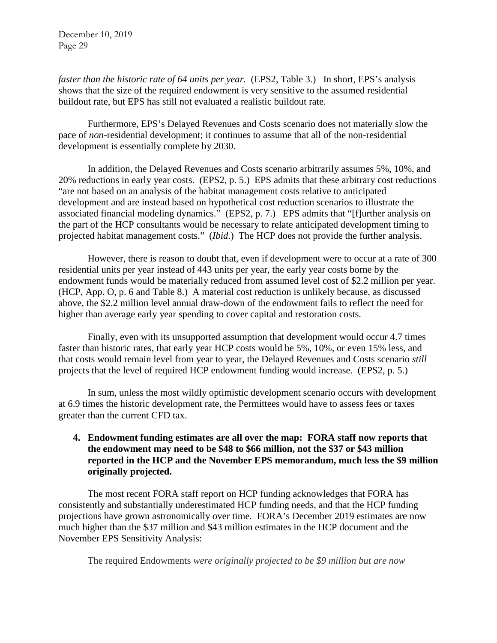*faster than the historic rate of 64 units per year.* (EPS2, Table 3.) In short, EPS's analysis shows that the size of the required endowment is very sensitive to the assumed residential buildout rate, but EPS has still not evaluated a realistic buildout rate.

Furthermore, EPS's Delayed Revenues and Costs scenario does not materially slow the pace of *non*-residential development; it continues to assume that all of the non-residential development is essentially complete by 2030.

In addition, the Delayed Revenues and Costs scenario arbitrarily assumes 5%, 10%, and 20% reductions in early year costs. (EPS2, p. 5.) EPS admits that these arbitrary cost reductions "are not based on an analysis of the habitat management costs relative to anticipated development and are instead based on hypothetical cost reduction scenarios to illustrate the associated financial modeling dynamics." (EPS2, p. 7.) EPS admits that "[f]urther analysis on the part of the HCP consultants would be necessary to relate anticipated development timing to projected habitat management costs." (*Ibid*.) The HCP does not provide the further analysis.

However, there is reason to doubt that, even if development were to occur at a rate of 300 residential units per year instead of 443 units per year, the early year costs borne by the endowment funds would be materially reduced from assumed level cost of \$2.2 million per year. (HCP, App. O, p. 6 and Table 8.) A material cost reduction is unlikely because, as discussed above, the \$2.2 million level annual draw-down of the endowment fails to reflect the need for higher than average early year spending to cover capital and restoration costs.

Finally, even with its unsupported assumption that development would occur 4.7 times faster than historic rates, that early year HCP costs would be 5%, 10%, or even 15% less, and that costs would remain level from year to year, the Delayed Revenues and Costs scenario *still* projects that the level of required HCP endowment funding would increase. (EPS2, p. 5.)

In sum, unless the most wildly optimistic development scenario occurs with development at 6.9 times the historic development rate, the Permittees would have to assess fees or taxes greater than the current CFD tax.

# **4. Endowment funding estimates are all over the map: FORA staff now reports that the endowment may need to be \$48 to \$66 million, not the \$37 or \$43 million reported in the HCP and the November EPS memorandum, much less the \$9 million originally projected.**

The most recent FORA staff report on HCP funding acknowledges that FORA has consistently and substantially underestimated HCP funding needs, and that the HCP funding projections have grown astronomically over time. FORA's December 2019 estimates are now much higher than the \$37 million and \$43 million estimates in the HCP document and the November EPS Sensitivity Analysis:

The required Endowments *were originally projected to be \$9 million but are now*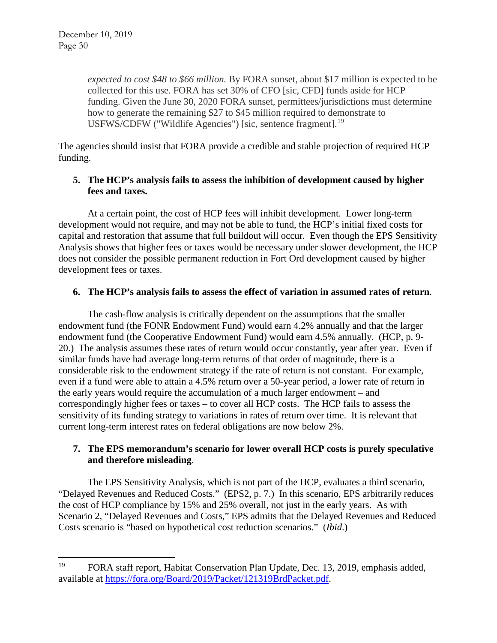*expected to cost \$48 to \$66 million.* By FORA sunset, about \$17 million is expected to be collected for this use. FORA has set 30% of CFO [sic, CFD] funds aside for HCP funding. Given the June 30, 2020 FORA sunset, permittees/jurisdictions must determine how to generate the remaining \$27 to \$45 million required to demonstrate to USFWS/CDFW ("Wildlife Agencies") [sic, sentence fragment].<sup>[19](#page-29-0)</sup>

The agencies should insist that FORA provide a credible and stable projection of required HCP funding.

# **5. The HCP's analysis fails to assess the inhibition of development caused by higher fees and taxes.**

At a certain point, the cost of HCP fees will inhibit development. Lower long-term development would not require, and may not be able to fund, the HCP's initial fixed costs for capital and restoration that assume that full buildout will occur. Even though the EPS Sensitivity Analysis shows that higher fees or taxes would be necessary under slower development, the HCP does not consider the possible permanent reduction in Fort Ord development caused by higher development fees or taxes.

# **6. The HCP's analysis fails to assess the effect of variation in assumed rates of return**.

The cash-flow analysis is critically dependent on the assumptions that the smaller endowment fund (the FONR Endowment Fund) would earn 4.2% annually and that the larger endowment fund (the Cooperative Endowment Fund) would earn 4.5% annually. (HCP, p. 9- 20.) The analysis assumes these rates of return would occur constantly, year after year. Even if similar funds have had average long-term returns of that order of magnitude, there is a considerable risk to the endowment strategy if the rate of return is not constant. For example, even if a fund were able to attain a 4.5% return over a 50-year period, a lower rate of return in the early years would require the accumulation of a much larger endowment – and correspondingly higher fees or taxes – to cover all HCP costs. The HCP fails to assess the sensitivity of its funding strategy to variations in rates of return over time. It is relevant that current long-term interest rates on federal obligations are now below 2%.

# **7. The EPS memorandum's scenario for lower overall HCP costs is purely speculative and therefore misleading**.

The EPS Sensitivity Analysis, which is not part of the HCP, evaluates a third scenario, "Delayed Revenues and Reduced Costs." (EPS2, p. 7.) In this scenario, EPS arbitrarily reduces the cost of HCP compliance by 15% and 25% overall, not just in the early years. As with Scenario 2, "Delayed Revenues and Costs," EPS admits that the Delayed Revenues and Reduced Costs scenario is "based on hypothetical cost reduction scenarios." (*Ibid*.)

<span id="page-29-0"></span><sup>&</sup>lt;sup>19</sup> FORA staff report, Habitat Conservation Plan Update, Dec. 13, 2019, emphasis added, available at [https://fora.org/Board/2019/Packet/121319BrdPacket.pdf.](https://fora.org/Board/2019/Packet/121319BrdPacket.pdf)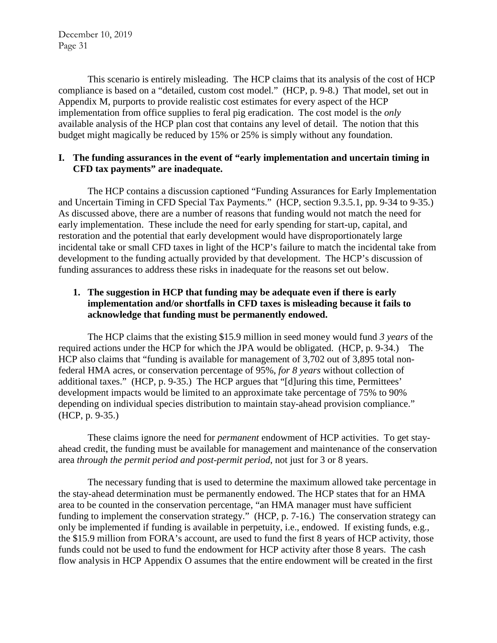This scenario is entirely misleading. The HCP claims that its analysis of the cost of HCP compliance is based on a "detailed, custom cost model." (HCP, p. 9-8.) That model, set out in Appendix M, purports to provide realistic cost estimates for every aspect of the HCP implementation from office supplies to feral pig eradication. The cost model is the *only* available analysis of the HCP plan cost that contains any level of detail. The notion that this budget might magically be reduced by 15% or 25% is simply without any foundation.

### **I. The funding assurances in the event of "early implementation and uncertain timing in CFD tax payments" are inadequate.**

The HCP contains a discussion captioned "Funding Assurances for Early Implementation and Uncertain Timing in CFD Special Tax Payments." (HCP, section 9.3.5.1, pp. 9-34 to 9-35.) As discussed above, there are a number of reasons that funding would not match the need for early implementation. These include the need for early spending for start-up, capital, and restoration and the potential that early development would have disproportionately large incidental take or small CFD taxes in light of the HCP's failure to match the incidental take from development to the funding actually provided by that development. The HCP's discussion of funding assurances to address these risks in inadequate for the reasons set out below.

# **1. The suggestion in HCP that funding may be adequate even if there is early implementation and/or shortfalls in CFD taxes is misleading because it fails to acknowledge that funding must be permanently endowed.**

The HCP claims that the existing \$15.9 million in seed money would fund *3 years* of the required actions under the HCP for which the JPA would be obligated. (HCP, p. 9-34.) The HCP also claims that "funding is available for management of 3,702 out of 3,895 total nonfederal HMA acres, or conservation percentage of 95%, *for 8 years* without collection of additional taxes." (HCP, p. 9-35.) The HCP argues that "[d]uring this time, Permittees' development impacts would be limited to an approximate take percentage of 75% to 90% depending on individual species distribution to maintain stay-ahead provision compliance." (HCP, p. 9-35.)

These claims ignore the need for *permanent* endowment of HCP activities. To get stayahead credit, the funding must be available for management and maintenance of the conservation area *through the permit period and post-permit period*, not just for 3 or 8 years.

The necessary funding that is used to determine the maximum allowed take percentage in the stay-ahead determination must be permanently endowed. The HCP states that for an HMA area to be counted in the conservation percentage, "an HMA manager must have sufficient funding to implement the conservation strategy." (HCP, p. 7-16.) The conservation strategy can only be implemented if funding is available in perpetuity, i.e., endowed. If existing funds, e.g., the \$15.9 million from FORA's account, are used to fund the first 8 years of HCP activity, those funds could not be used to fund the endowment for HCP activity after those 8 years. The cash flow analysis in HCP Appendix O assumes that the entire endowment will be created in the first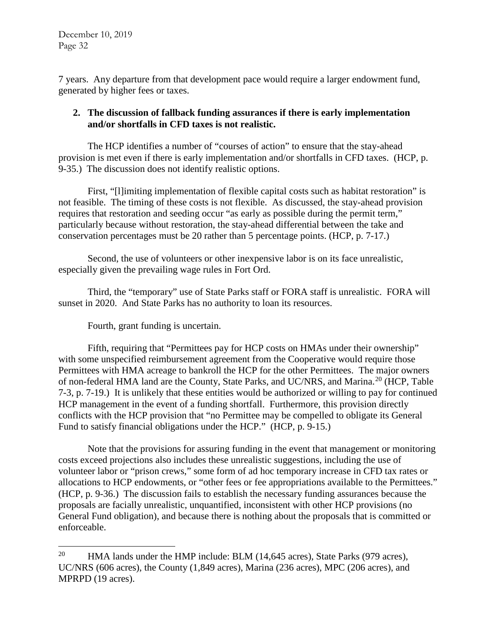7 years. Any departure from that development pace would require a larger endowment fund, generated by higher fees or taxes.

### **2. The discussion of fallback funding assurances if there is early implementation and/or shortfalls in CFD taxes is not realistic.**

The HCP identifies a number of "courses of action" to ensure that the stay-ahead provision is met even if there is early implementation and/or shortfalls in CFD taxes. (HCP, p. 9-35.) The discussion does not identify realistic options.

First, "[l]imiting implementation of flexible capital costs such as habitat restoration" is not feasible. The timing of these costs is not flexible. As discussed, the stay-ahead provision requires that restoration and seeding occur "as early as possible during the permit term," particularly because without restoration, the stay-ahead differential between the take and conservation percentages must be 20 rather than 5 percentage points. (HCP, p. 7-17.)

Second, the use of volunteers or other inexpensive labor is on its face unrealistic, especially given the prevailing wage rules in Fort Ord.

Third, the "temporary" use of State Parks staff or FORA staff is unrealistic. FORA will sunset in 2020. And State Parks has no authority to loan its resources.

Fourth, grant funding is uncertain.

Fifth, requiring that "Permittees pay for HCP costs on HMAs under their ownership" with some unspecified reimbursement agreement from the Cooperative would require those Permittees with HMA acreage to bankroll the HCP for the other Permittees. The major owners of non-federal HMA land are the County, State Parks, and UC/NRS, and Marina.[20](#page-31-0) (HCP, Table 7-3, p. 7-19.) It is unlikely that these entities would be authorized or willing to pay for continued HCP management in the event of a funding shortfall. Furthermore, this provision directly conflicts with the HCP provision that "no Permittee may be compelled to obligate its General Fund to satisfy financial obligations under the HCP." (HCP, p. 9-15.)

Note that the provisions for assuring funding in the event that management or monitoring costs exceed projections also includes these unrealistic suggestions, including the use of volunteer labor or "prison crews," some form of ad hoc temporary increase in CFD tax rates or allocations to HCP endowments, or "other fees or fee appropriations available to the Permittees." (HCP, p. 9-36.) The discussion fails to establish the necessary funding assurances because the proposals are facially unrealistic, unquantified, inconsistent with other HCP provisions (no General Fund obligation), and because there is nothing about the proposals that is committed or enforceable.

<span id="page-31-0"></span><sup>&</sup>lt;sup>20</sup> HMA lands under the HMP include: BLM  $(14,645 \text{ acres})$ , State Parks (979 acres), UC/NRS (606 acres), the County (1,849 acres), Marina (236 acres), MPC (206 acres), and MPRPD (19 acres).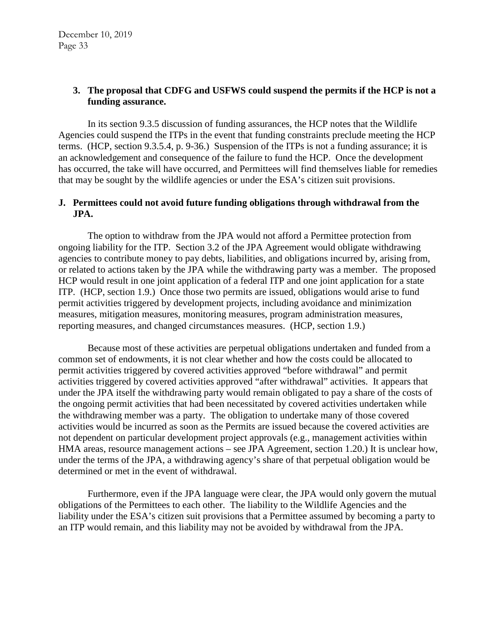# **3. The proposal that CDFG and USFWS could suspend the permits if the HCP is not a funding assurance.**

In its section 9.3.5 discussion of funding assurances, the HCP notes that the Wildlife Agencies could suspend the ITPs in the event that funding constraints preclude meeting the HCP terms. (HCP, section 9.3.5.4, p. 9-36.) Suspension of the ITPs is not a funding assurance; it is an acknowledgement and consequence of the failure to fund the HCP. Once the development has occurred, the take will have occurred, and Permittees will find themselves liable for remedies that may be sought by the wildlife agencies or under the ESA's citizen suit provisions.

# **J. Permittees could not avoid future funding obligations through withdrawal from the JPA.**

The option to withdraw from the JPA would not afford a Permittee protection from ongoing liability for the ITP. Section 3.2 of the JPA Agreement would obligate withdrawing agencies to contribute money to pay debts, liabilities, and obligations incurred by, arising from, or related to actions taken by the JPA while the withdrawing party was a member. The proposed HCP would result in one joint application of a federal ITP and one joint application for a state ITP. (HCP, section 1.9.) Once those two permits are issued, obligations would arise to fund permit activities triggered by development projects, including avoidance and minimization measures, mitigation measures, monitoring measures, program administration measures, reporting measures, and changed circumstances measures. (HCP, section 1.9.)

Because most of these activities are perpetual obligations undertaken and funded from a common set of endowments, it is not clear whether and how the costs could be allocated to permit activities triggered by covered activities approved "before withdrawal" and permit activities triggered by covered activities approved "after withdrawal" activities. It appears that under the JPA itself the withdrawing party would remain obligated to pay a share of the costs of the ongoing permit activities that had been necessitated by covered activities undertaken while the withdrawing member was a party. The obligation to undertake many of those covered activities would be incurred as soon as the Permits are issued because the covered activities are not dependent on particular development project approvals (e.g., management activities within HMA areas, resource management actions – see JPA Agreement, section 1.20.) It is unclear how, under the terms of the JPA, a withdrawing agency's share of that perpetual obligation would be determined or met in the event of withdrawal.

Furthermore, even if the JPA language were clear, the JPA would only govern the mutual obligations of the Permittees to each other. The liability to the Wildlife Agencies and the liability under the ESA's citizen suit provisions that a Permittee assumed by becoming a party to an ITP would remain, and this liability may not be avoided by withdrawal from the JPA.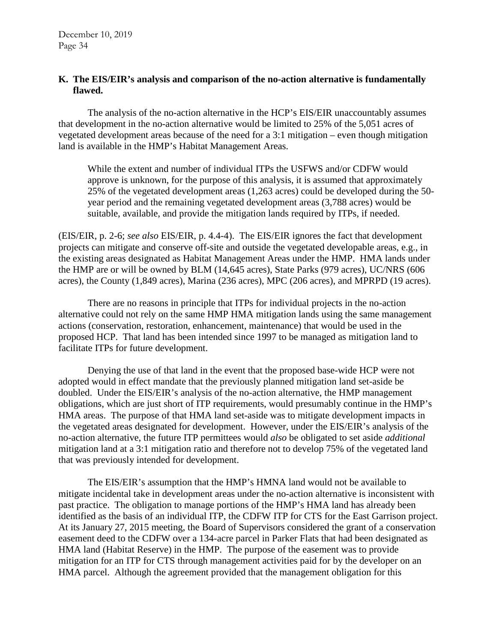#### **K. The EIS/EIR's analysis and comparison of the no-action alternative is fundamentally flawed.**

The analysis of the no-action alternative in the HCP's EIS/EIR unaccountably assumes that development in the no-action alternative would be limited to 25% of the 5,051 acres of vegetated development areas because of the need for a 3:1 mitigation – even though mitigation land is available in the HMP's Habitat Management Areas.

While the extent and number of individual ITPs the USFWS and/or CDFW would approve is unknown, for the purpose of this analysis, it is assumed that approximately 25% of the vegetated development areas (1,263 acres) could be developed during the 50 year period and the remaining vegetated development areas (3,788 acres) would be suitable, available, and provide the mitigation lands required by ITPs, if needed.

(EIS/EIR, p. 2-6; *see also* EIS/EIR, p. 4.4-4). The EIS/EIR ignores the fact that development projects can mitigate and conserve off-site and outside the vegetated developable areas, e.g., in the existing areas designated as Habitat Management Areas under the HMP. HMA lands under the HMP are or will be owned by BLM (14,645 acres), State Parks (979 acres), UC/NRS (606 acres), the County (1,849 acres), Marina (236 acres), MPC (206 acres), and MPRPD (19 acres).

There are no reasons in principle that ITPs for individual projects in the no-action alternative could not rely on the same HMP HMA mitigation lands using the same management actions (conservation, restoration, enhancement, maintenance) that would be used in the proposed HCP. That land has been intended since 1997 to be managed as mitigation land to facilitate ITPs for future development.

Denying the use of that land in the event that the proposed base-wide HCP were not adopted would in effect mandate that the previously planned mitigation land set-aside be doubled. Under the EIS/EIR's analysis of the no-action alternative, the HMP management obligations, which are just short of ITP requirements, would presumably continue in the HMP's HMA areas. The purpose of that HMA land set-aside was to mitigate development impacts in the vegetated areas designated for development. However, under the EIS/EIR's analysis of the no-action alternative, the future ITP permittees would *also* be obligated to set aside *additional* mitigation land at a 3:1 mitigation ratio and therefore not to develop 75% of the vegetated land that was previously intended for development.

The EIS/EIR's assumption that the HMP's HMNA land would not be available to mitigate incidental take in development areas under the no-action alternative is inconsistent with past practice. The obligation to manage portions of the HMP's HMA land has already been identified as the basis of an individual ITP, the CDFW ITP for CTS for the East Garrison project. At its January 27, 2015 meeting, the Board of Supervisors considered the grant of a conservation easement deed to the CDFW over a 134-acre parcel in Parker Flats that had been designated as HMA land (Habitat Reserve) in the HMP. The purpose of the easement was to provide mitigation for an ITP for CTS through management activities paid for by the developer on an HMA parcel. Although the agreement provided that the management obligation for this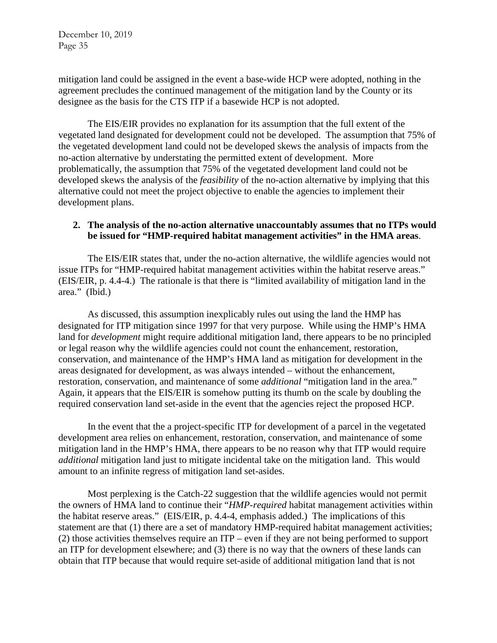mitigation land could be assigned in the event a base-wide HCP were adopted, nothing in the agreement precludes the continued management of the mitigation land by the County or its designee as the basis for the CTS ITP if a basewide HCP is not adopted.

The EIS/EIR provides no explanation for its assumption that the full extent of the vegetated land designated for development could not be developed. The assumption that 75% of the vegetated development land could not be developed skews the analysis of impacts from the no-action alternative by understating the permitted extent of development. More problematically, the assumption that 75% of the vegetated development land could not be developed skews the analysis of the *feasibility* of the no-action alternative by implying that this alternative could not meet the project objective to enable the agencies to implement their development plans.

# **2. The analysis of the no-action alternative unaccountably assumes that no ITPs would be issued for "HMP-required habitat management activities" in the HMA areas**.

The EIS/EIR states that, under the no-action alternative, the wildlife agencies would not issue ITPs for "HMP-required habitat management activities within the habitat reserve areas." (EIS/EIR, p. 4.4-4.) The rationale is that there is "limited availability of mitigation land in the area." (Ibid.)

As discussed, this assumption inexplicably rules out using the land the HMP has designated for ITP mitigation since 1997 for that very purpose. While using the HMP's HMA land for *development* might require additional mitigation land, there appears to be no principled or legal reason why the wildlife agencies could not count the enhancement, restoration, conservation, and maintenance of the HMP's HMA land as mitigation for development in the areas designated for development, as was always intended – without the enhancement, restoration, conservation, and maintenance of some *additional* "mitigation land in the area." Again, it appears that the EIS/EIR is somehow putting its thumb on the scale by doubling the required conservation land set-aside in the event that the agencies reject the proposed HCP.

In the event that the a project-specific ITP for development of a parcel in the vegetated development area relies on enhancement, restoration, conservation, and maintenance of some mitigation land in the HMP's HMA, there appears to be no reason why that ITP would require *additional* mitigation land just to mitigate incidental take on the mitigation land. This would amount to an infinite regress of mitigation land set-asides.

Most perplexing is the Catch-22 suggestion that the wildlife agencies would not permit the owners of HMA land to continue their "*HMP-required* habitat management activities within the habitat reserve areas." (EIS/EIR, p. 4.4-4, emphasis added.) The implications of this statement are that (1) there are a set of mandatory HMP-required habitat management activities; (2) those activities themselves require an ITP – even if they are not being performed to support an ITP for development elsewhere; and (3) there is no way that the owners of these lands can obtain that ITP because that would require set-aside of additional mitigation land that is not